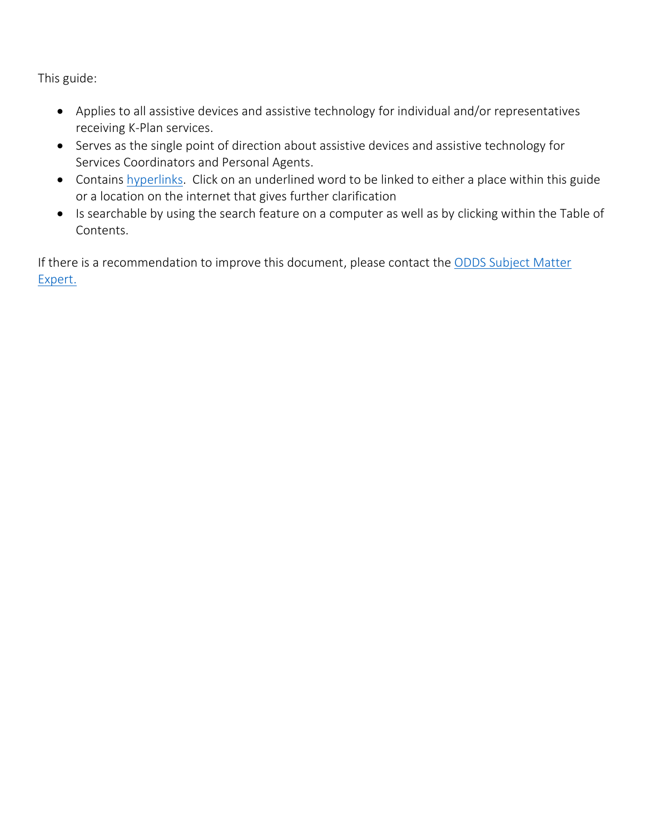This guide:

- Applies to all assistive devices and assistive technology for individual and/or representatives receiving K-Plan services.
- Serves as the single point of direction about assistive devices and assistive technology for Services Coordinators and Personal Agents.
- Contains [hyperlinks.](https://en.wikipedia.org/wiki/Hyperlink) Click on an underlined word to be linked to either a place within this guide or a location on the internet that gives further clarification
- Is searchable by using the search feature on a computer as well as by clicking within the Table of Contents.

If there is a recommendation to improve this document, please contact the ODDS Subject Matter Expert.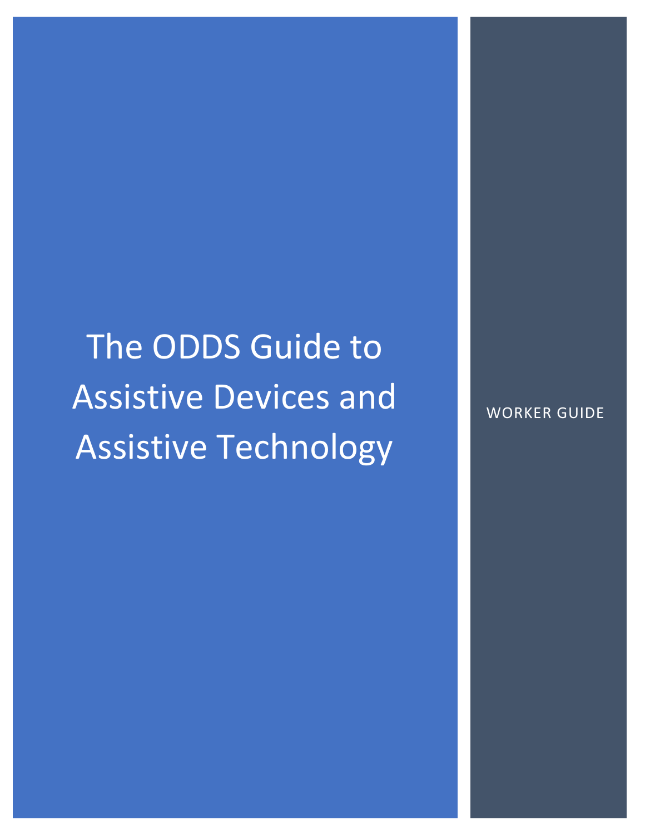The ODDS Guide to Assistive Devices and Assistive Technology

WORKER GUIDE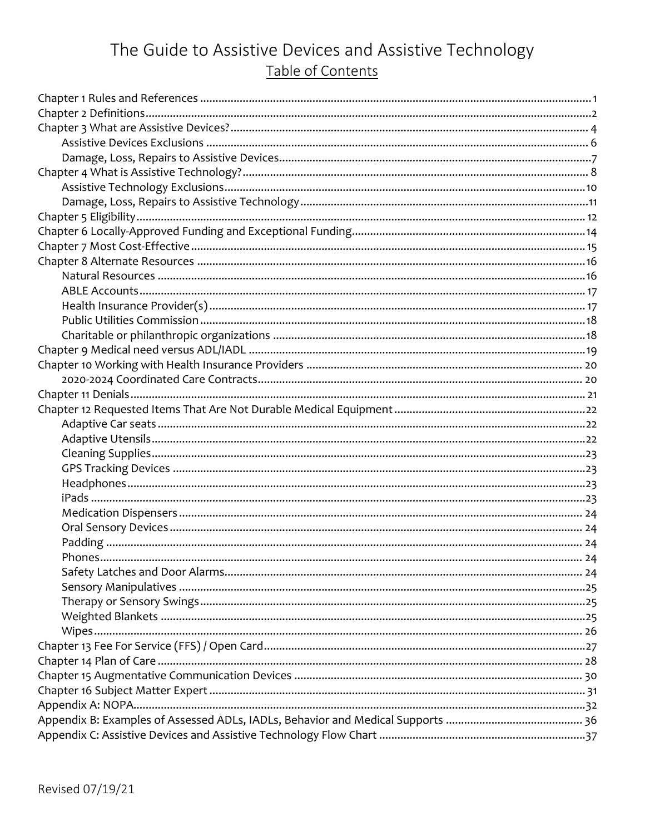# The Guide to Assistive Devices and Assistive Technology Table of Contents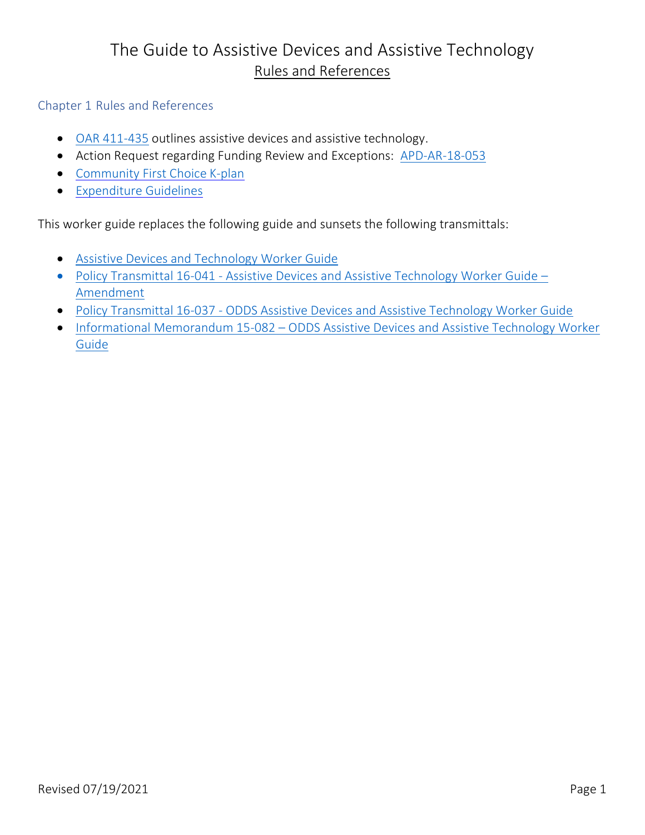## The Guide to Assistive Devices and Assistive Technology Rules and References

<span id="page-3-0"></span>Chapter 1 Rules and References

- [OAR 411-435](https://www.oregon.gov/dhs/SENIORS-DISABILITIES/DD/ODDSRules/411-435.pdf) outlines assistive devices and assistive technology.
- Action Request regarding Funding Review and Exceptions: [APD-AR-18-053](https://www.oregon.gov/dhs/SENIORS-DISABILITIES/DD/Transmittals/ar18053.pdf)
- [Community First Choice](https://www.oregon.gov/dhs/seniors-disabilities/KPLAN/Pages/index.aspx) K-plan
- [Expenditure Guidelines](https://www.oregon.gov/DHS/SENIORS-DISABILITIES/DD/PROVIDERS-PARTNERS/Documents/ODDS-Expenditure-Guidelines.pdf)

This worker guide replaces the following guide and sunsets the following transmittals:

- [Assistive Devices and Technology Worker Guide](http://www.dhs.state.or.us/dhs/spd/tools/dd/cm/Assistive%20Devices%20and%20Technology%20Worker%20Guide.pdf)
- Policy Transmittal 16-041 [Assistive Devices and Assistive Technology Worker Guide](https://www.oregon.gov/dhs/SENIORS-DISABILITIES/DD/Transmittals/pt16041.pdf)  [Amendment](https://www.oregon.gov/dhs/SENIORS-DISABILITIES/DD/Transmittals/pt16041.pdf)
- Policy Transmittal 16-037 [ODDS Assistive Devices and Assistive Technology Worker Guide](https://www.oregon.gov/dhs/SENIORS-DISABILITIES/DD/Transmittals/pt16037.pdf)
- Informational Memorandum 15-082 [ODDS Assistive Devices and Assistive Technology Worker](https://www.oregon.gov/dhs/SENIORS-DISABILITIES/DD/Transmittals/im15082.pdf)  [Guide](https://www.oregon.gov/dhs/SENIORS-DISABILITIES/DD/Transmittals/im15082.pdf)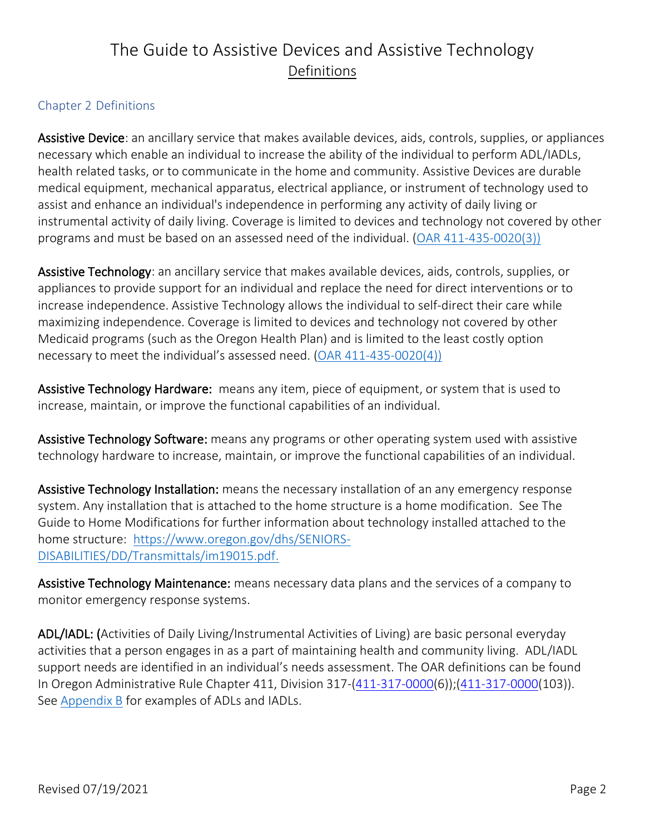# The Guide to Assistive Devices and Assistive Technology Definitions

### <span id="page-4-0"></span>Chapter 2 Definitions

Assistive Device: an ancillary service that makes available devices, aids, controls, supplies, or appliances necessary which enable an individual to increase the ability of the individual to perform ADL/IADLs, health related tasks, or to communicate in the home and community. Assistive Devices are durable medical equipment, mechanical apparatus, electrical appliance, or instrument of technology used to assist and enhance an individual's independence in performing any activity of daily living or instrumental activity of daily living. Coverage is limited to devices and technology not covered by other programs and must be based on an assessed need of the individual. [\(OAR 411-435-0020\(3\)\)](https://www.oregon.gov/dhs/SENIORS-DISABILITIES/DD/ODDSRules/411-435.pdf)

Assistive Technology: an ancillary service that makes available devices, aids, controls, supplies, or appliances to provide support for an individual and replace the need for direct interventions or to increase independence. Assistive Technology allows the individual to self-direct their care while maximizing independence. Coverage is limited to devices and technology not covered by other Medicaid programs (such as the Oregon Health Plan) and is limited to the least costly option necessary to meet the individual's assessed need. [\(OAR 411-435-0020\(4\)\)](https://www.oregon.gov/dhs/SENIORS-DISABILITIES/DD/ODDSRules/411-435.pdf)

Assistive Technology Hardware: means any item, piece of equipment, or system that is used to increase, maintain, or improve the functional capabilities of an individual.

Assistive Technology Software: means any programs or other operating system used with assistive technology hardware to increase, maintain, or improve the functional capabilities of an individual.

Assistive Technology Installation: means the necessary installation of an any emergency response system. Any installation that is attached to the home structure is a home modification. See The Guide to Home Modifications for further information about technology installed attached to the home structure: https://www.oregon.gov/dhs/SENIORS-DISABILITIES/DD/Transmittals/im19015.pdf.

Assistive Technology Maintenance: means necessary data plans and the services of a company to monitor emergency response systems.

<span id="page-4-1"></span>ADL/IADL: (Activities of Daily Living/Instrumental Activities of Living) are basic personal everyday activities that a person engages in as a part of maintaining health and community living. ADL/IADL support needs are identified in an individual's needs assessment. The OAR definitions can be found In Oregon Administrative Rule Chapter 411, Division 317-[\(411-317-0000\(](https://www.oregon.gov/dhs/SENIORS-DISABILITIES/DD/ODDSRules/411-317.pdf)6));[\(411-317-0](https://www.oregon.gov/dhs/SENIORS-DISABILITIES/DD/ODDSRules/411-317.pdf)000(103)). See [Appendix B](#page-37-0) for examples of ADLs and IADLs.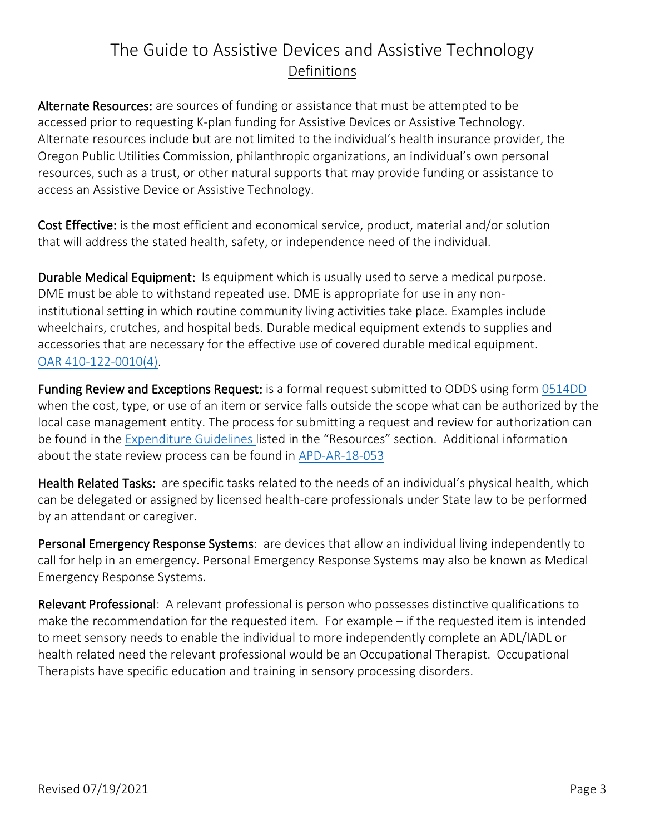# The Guide to Assistive Devices and Assistive Technology Definitions

Alternate Resources: are sources of funding or assistance that must be attempted to be accessed prior to requesting K-plan funding for Assistive Devices or Assistive Technology. Alternate resources include but are not limited to the individual's health insurance provider, the Oregon Public Utilities Commission, philanthropic organizations, an individual's own personal resources, such as a trust, or other natural supports that may provide funding or assistance to access an Assistive Device or Assistive Technology.

Cost Effective: is the most efficient and economical service, product, material and/or solution that will address the stated health, safety, or independence need of the individual.

<span id="page-5-0"></span>Durable Medical Equipment: Is equipment which is usually used to serve a medical purpose. DME must be able to withstand repeated use. DME is appropriate for use in any noninstitutional setting in which routine community living activities take place. Examples include wheelchairs, crutches, and hospital beds. Durable medical equipment extends to supplies and accessories that are necessary for the effective use of covered durable medical equipment. [OAR 410-122-0010\(4\).](https://secure.sos.state.or.us/oard/viewSingleRule.action;JSESSIONID_OARD=E-zbxlhY78wX80iNc-4qyxzDPft9frbz961IEx-USSnsmqXPu8cw!-1700260103?ruleVrsnRsn=243023)

Funding Review and Exceptions Request: is a formal request submitted to ODDS using form [0514DD](https://aix-xweb1p.state.or.us/es_xweb/DHSforms/Served/se0514dd.pdf?CFGRIDKEY=DHS%200514DD,,ODDS%20Funding%20Review%20Request,se0514DD.pdf,,,,,,,,,,/es_xweb../FORMS/-,,/es_xweb../FORMS/-,) when the cost, type, or use of an item or service falls outside the scope what can be authorized by the local case management entity. The process for submitting a request and review for authorization can be found in the [Expenditure Guidelines](https://www.oregon.gov/DHS/SENIORS-DISABILITIES/DD/PROVIDERS-PARTNERS/Documents/ODDS-Expenditure-Guidelines.pdf) listed in the "Resources" section. Additional information about the state review process can be found in [APD-AR-18-053](https://www.oregon.gov/dhs/SENIORS-DISABILITIES/DD/Transmittals/ar18053.pdf)

<span id="page-5-1"></span>Health Related Tasks: are specific tasks related to the needs of an individual's physical health, which can be delegated or assigned by licensed health-care professionals under State law to be performed by an attendant or caregiver.

Personal Emergency Response Systems: are devices that allow an individual living independently to call for help in an emergency. Personal Emergency Response Systems may also be known as Medical Emergency Response Systems.

Relevant Professional: A relevant professional is person who possesses distinctive qualifications to make the recommendation for the requested item. For example – if the requested item is intended to meet sensory needs to enable the individual to more independently complete an ADL/IADL or health related need the relevant professional would be an Occupational Therapist. Occupational Therapists have specific education and training in sensory processing disorders.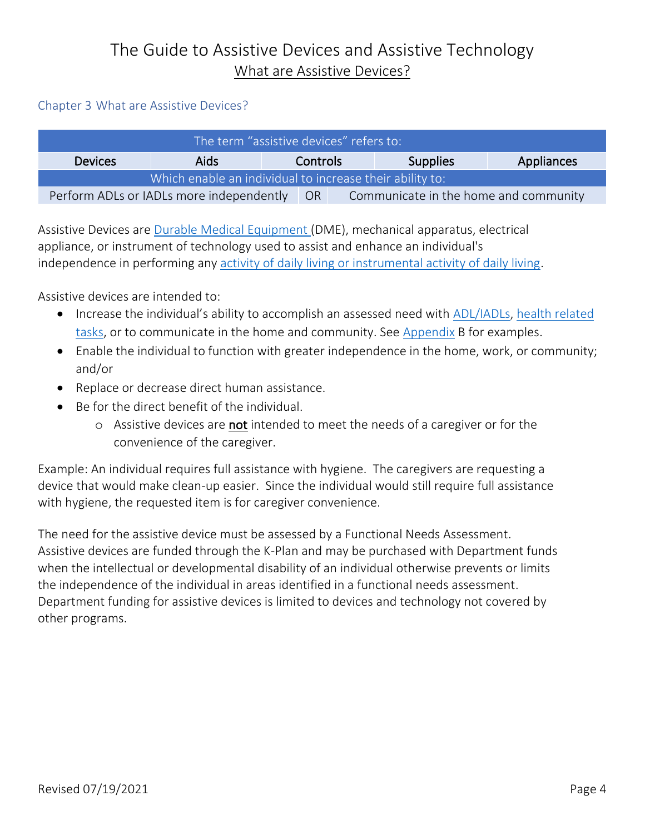#### <span id="page-6-0"></span>Chapter 3 What are Assistive Devices?

| The term "assistive devices" refers to:                  |             |          |                                       |  |                 |            |
|----------------------------------------------------------|-------------|----------|---------------------------------------|--|-----------------|------------|
| <b>Devices</b>                                           | <b>Aids</b> | Controls |                                       |  | <b>Supplies</b> | Appliances |
| Which enable an individual to increase their ability to: |             |          |                                       |  |                 |            |
| Perform ADLs or IADLs more independently                 |             | - OR     | Communicate in the home and community |  |                 |            |

Assistive Devices are [Durable Medical Equipment \(](#page-5-0)DME), mechanical apparatus, electrical appliance, or instrument of technology used to assist and enhance an individual's independence in performing any [activity of daily living or instrumental activity of daily living.](#page-4-1)

Assistive devices are intended to:

- Increase the individual's ability to accomplish an assessed need with [ADL/IADLs,](#page-4-1) [health related](#page-5-1)  [tasks,](#page-5-1) or to communicate in the home and community. See [Appendix](#page-37-0) B for examples.
- Enable the individual to function with greater independence in the home, work, or community; and/or
- Replace or decrease direct human assistance.
- Be for the direct benefit of the individual.
	- o Assistive devices are not intended to meet the needs of a caregiver or for the convenience of the caregiver.

Example: An individual requires full assistance with hygiene. The caregivers are requesting a device that would make clean-up easier. Since the individual would still require full assistance with hygiene, the requested item is for caregiver convenience.

The need for the assistive device must be assessed by a Functional Needs Assessment. Assistive devices are funded through the K-Plan and may be purchased with Department funds when the intellectual or developmental disability of an individual otherwise prevents or limits the independence of the individual in areas identified in a functional needs assessment. Department funding for assistive devices is limited to devices and technology not covered by other programs.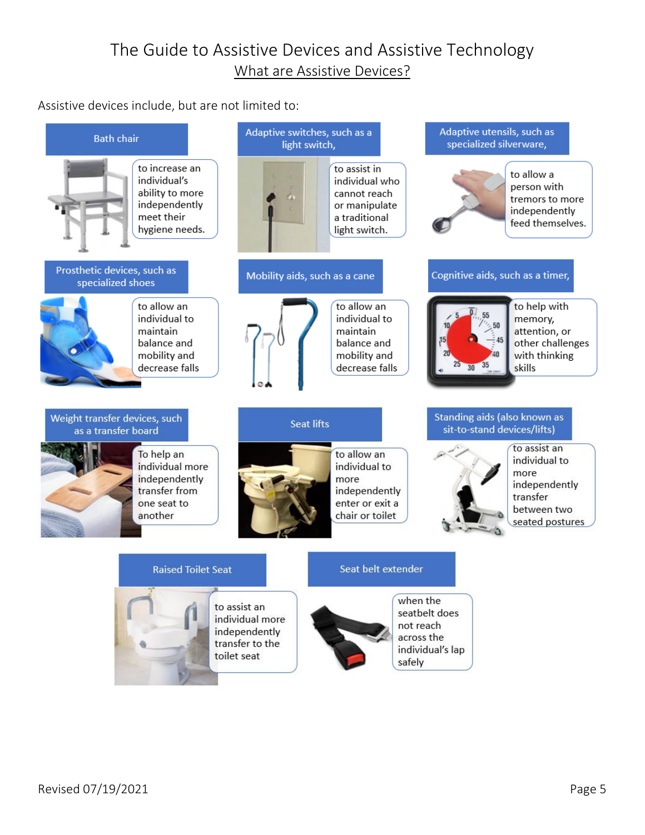Assistive devices include, but are not limited to:

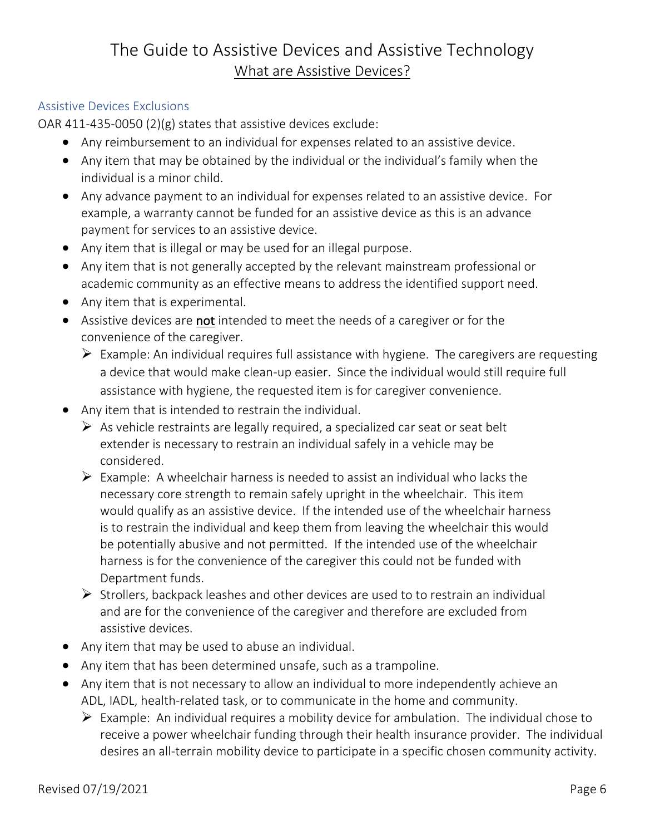### <span id="page-8-0"></span>Assistive Devices Exclusions

OAR 411-435-0050 (2)(g) states that assistive devices exclude:

- Any reimbursement to an individual for expenses related to an assistive device.
- Any item that may be obtained by the individual or the individual's family when the individual is a minor child.
- Any advance payment to an individual for expenses related to an assistive device. For example, a warranty cannot be funded for an assistive device as this is an advance payment for services to an assistive device.
- Any item that is illegal or may be used for an illegal purpose.
- Any item that is not generally accepted by the relevant mainstream professional or academic community as an effective means to address the identified support need.
- Any item that is experimental.
- Assistive devices are not intended to meet the needs of a caregiver or for the convenience of the caregiver.
	- $\triangleright$  Example: An individual requires full assistance with hygiene. The caregivers are requesting a device that would make clean-up easier. Since the individual would still require full assistance with hygiene, the requested item is for caregiver convenience.
- Any item that is intended to restrain the individual.
	- $\triangleright$  As vehicle restraints are legally required, a specialized car seat or seat belt extender is necessary to restrain an individual safely in a vehicle may be considered.
	- $\triangleright$  Example: A wheelchair harness is needed to assist an individual who lacks the necessary core strength to remain safely upright in the wheelchair. This item would qualify as an assistive device. If the intended use of the wheelchair harness is to restrain the individual and keep them from leaving the wheelchair this would be potentially abusive and not permitted. If the intended use of the wheelchair harness is for the convenience of the caregiver this could not be funded with Department funds.
	- $\triangleright$  Strollers, backpack leashes and other devices are used to to restrain an individual and are for the convenience of the caregiver and therefore are excluded from assistive devices.
- Any item that may be used to abuse an individual.
- Any item that has been determined unsafe, such as a trampoline.
- Any item that is not necessary to allow an individual to more independently achieve an ADL, IADL, health-related task, or to communicate in the home and community.
	- $\triangleright$  Example: An individual requires a mobility device for ambulation. The individual chose to receive a power wheelchair funding through their health insurance provider. The individual desires an all-terrain mobility device to participate in a specific chosen community activity.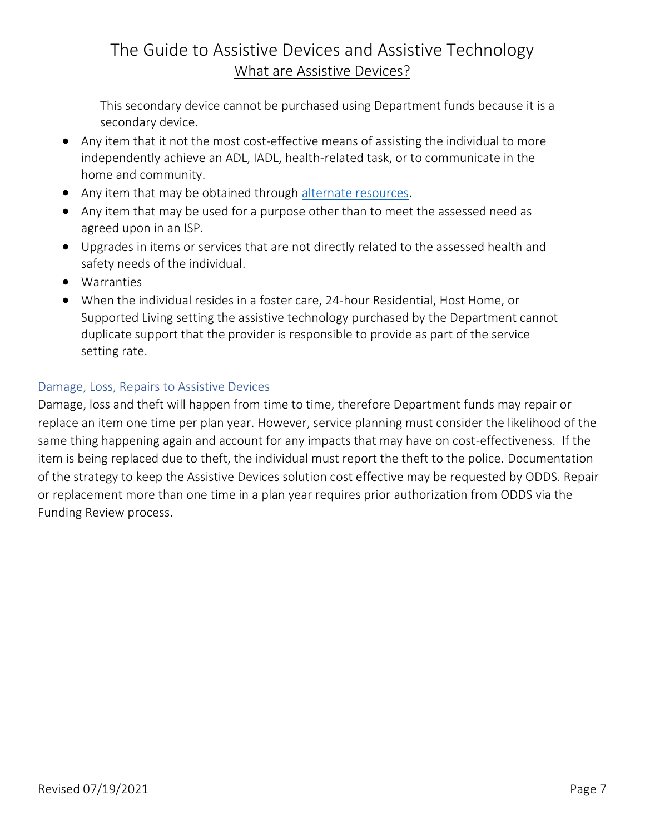This secondary device cannot be purchased using Department funds because it is a secondary device.

- Any item that it not the most cost-effective means of assisting the individual to more independently achieve an ADL, IADL, health-related task, or to communicate in the home and community.
- Any item that may be obtained through [alternate resources.](#page-30-1)
- Any item that may be used for a purpose other than to meet the assessed need as agreed upon in an ISP.
- Upgrades in items or services that are not directly related to the assessed health and safety needs of the individual.
- Warranties
- When the individual resides in a foster care, 24-hour Residential, Host Home, or Supported Living setting the assistive technology purchased by the Department cannot duplicate support that the provider is responsible to provide as part of the service setting rate.

### <span id="page-9-0"></span>Damage, Loss, Repairs to Assistive Devices

Damage, loss and theft will happen from time to time, therefore Department funds may repair or replace an item one time per plan year. However, service planning must consider the likelihood of the same thing happening again and account for any impacts that may have on cost-effectiveness. If the item is being replaced due to theft, the individual must report the theft to the police. Documentation of the strategy to keep the Assistive Devices solution cost effective may be requested by ODDS. Repair or replacement more than one time in a plan year requires prior authorization from ODDS via the Funding Review process.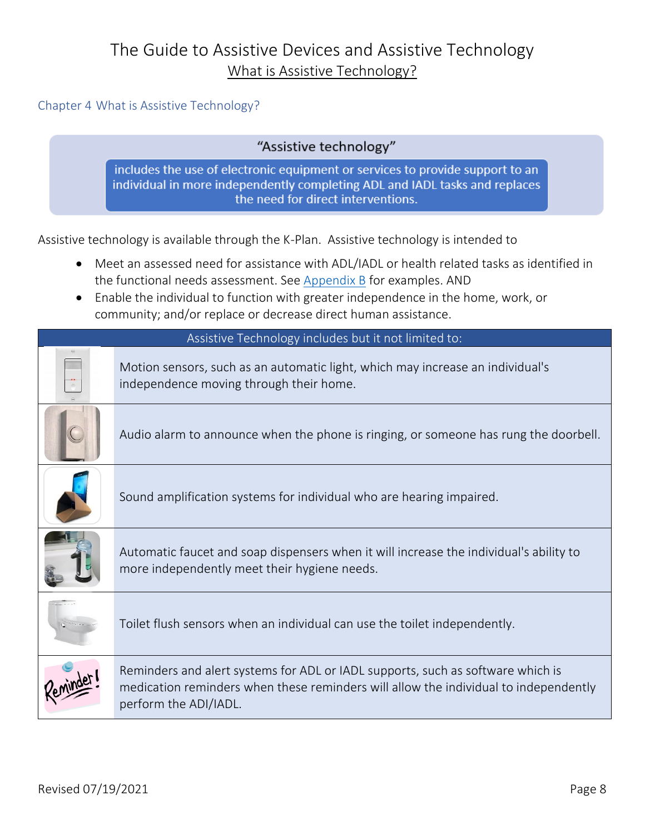<span id="page-10-0"></span>Chapter 4 What is Assistive Technology?

"Assistive technology"

includes the use of electronic equipment or services to provide support to an individual in more independently completing ADL and IADL tasks and replaces the need for direct interventions.

Assistive technology is available through the K-Plan. Assistive technology is intended to

- Meet an assessed need for assistance with ADL/IADL or health related tasks as identified in the functional needs assessment. See [Appendix B](#page-38-0) for examples. AND
- Enable the individual to function with greater independence in the home, work, or community; and/or replace or decrease direct human assistance.

| Assistive Technology includes but it not limited to: |                                                                                                                                                                                                  |  |  |  |  |
|------------------------------------------------------|--------------------------------------------------------------------------------------------------------------------------------------------------------------------------------------------------|--|--|--|--|
|                                                      | Motion sensors, such as an automatic light, which may increase an individual's<br>independence moving through their home.                                                                        |  |  |  |  |
|                                                      | Audio alarm to announce when the phone is ringing, or someone has rung the doorbell.                                                                                                             |  |  |  |  |
|                                                      | Sound amplification systems for individual who are hearing impaired.                                                                                                                             |  |  |  |  |
|                                                      | Automatic faucet and soap dispensers when it will increase the individual's ability to<br>more independently meet their hygiene needs.                                                           |  |  |  |  |
|                                                      | Toilet flush sensors when an individual can use the toilet independently.                                                                                                                        |  |  |  |  |
|                                                      | Reminders and alert systems for ADL or IADL supports, such as software which is<br>medication reminders when these reminders will allow the individual to independently<br>perform the ADI/IADL. |  |  |  |  |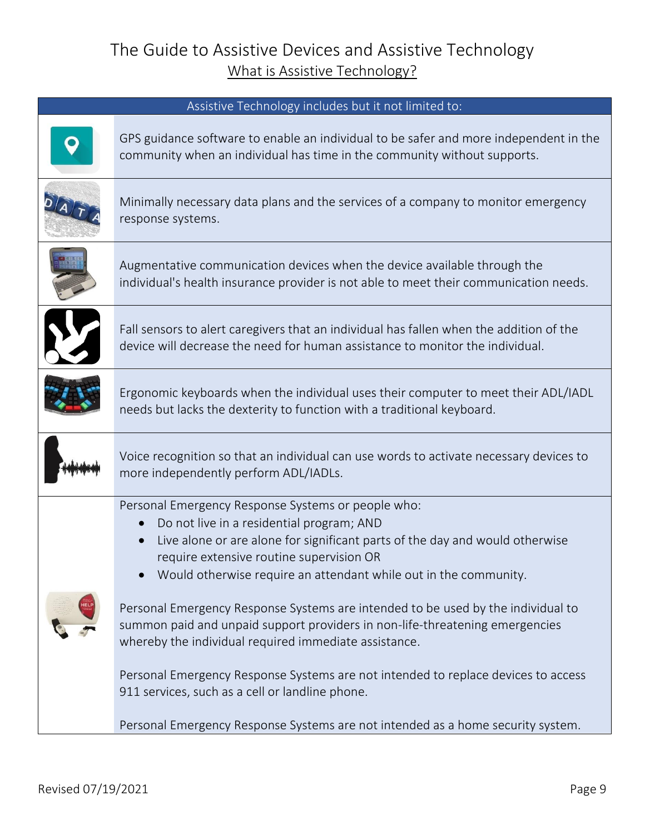| Assistive Technology includes but it not limited to:                                                                                                                                                                                                                                                                                                                                                                                                                                                                                                                                                                                                                                                                                                                                           |
|------------------------------------------------------------------------------------------------------------------------------------------------------------------------------------------------------------------------------------------------------------------------------------------------------------------------------------------------------------------------------------------------------------------------------------------------------------------------------------------------------------------------------------------------------------------------------------------------------------------------------------------------------------------------------------------------------------------------------------------------------------------------------------------------|
| GPS guidance software to enable an individual to be safer and more independent in the<br>community when an individual has time in the community without supports.                                                                                                                                                                                                                                                                                                                                                                                                                                                                                                                                                                                                                              |
| Minimally necessary data plans and the services of a company to monitor emergency<br>response systems.                                                                                                                                                                                                                                                                                                                                                                                                                                                                                                                                                                                                                                                                                         |
| Augmentative communication devices when the device available through the<br>individual's health insurance provider is not able to meet their communication needs.                                                                                                                                                                                                                                                                                                                                                                                                                                                                                                                                                                                                                              |
| Fall sensors to alert caregivers that an individual has fallen when the addition of the<br>device will decrease the need for human assistance to monitor the individual.                                                                                                                                                                                                                                                                                                                                                                                                                                                                                                                                                                                                                       |
| Ergonomic keyboards when the individual uses their computer to meet their ADL/IADL<br>needs but lacks the dexterity to function with a traditional keyboard.                                                                                                                                                                                                                                                                                                                                                                                                                                                                                                                                                                                                                                   |
| Voice recognition so that an individual can use words to activate necessary devices to<br>more independently perform ADL/IADLs.                                                                                                                                                                                                                                                                                                                                                                                                                                                                                                                                                                                                                                                                |
| Personal Emergency Response Systems or people who:<br>Do not live in a residential program; AND<br>$\bullet$<br>Live alone or are alone for significant parts of the day and would otherwise<br>$\bullet$<br>require extensive routine supervision OR<br>Would otherwise require an attendant while out in the community.<br>$\bullet$<br>Personal Emergency Response Systems are intended to be used by the individual to<br>summon paid and unpaid support providers in non-life-threatening emergencies<br>whereby the individual required immediate assistance.<br>Personal Emergency Response Systems are not intended to replace devices to access<br>911 services, such as a cell or landline phone.<br>Personal Emergency Response Systems are not intended as a home security system. |
|                                                                                                                                                                                                                                                                                                                                                                                                                                                                                                                                                                                                                                                                                                                                                                                                |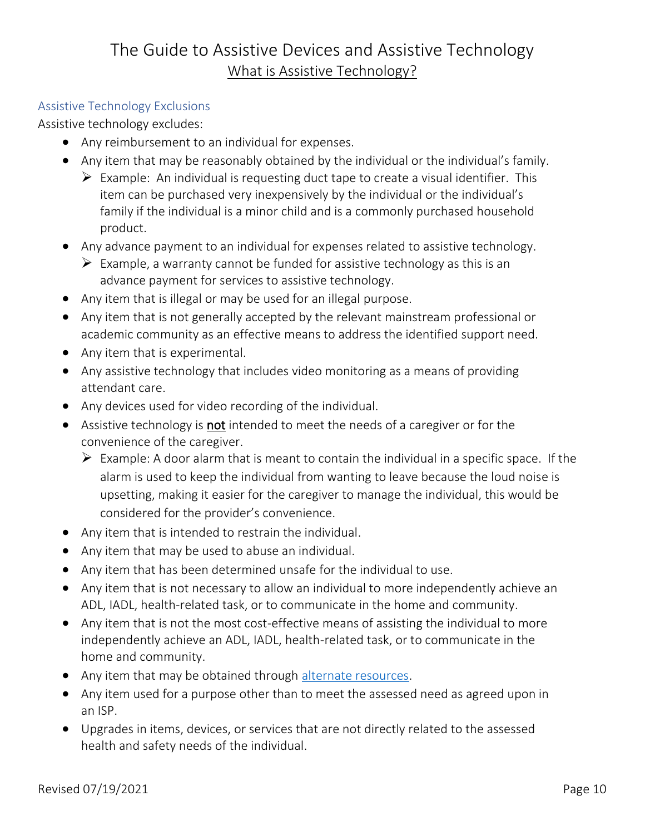#### <span id="page-12-0"></span>Assistive Technology Exclusions

Assistive technology excludes:

- Any reimbursement to an individual for expenses.
- Any item that may be reasonably obtained by the individual or the individual's family.
	- $\triangleright$  Example: An individual is requesting duct tape to create a visual identifier. This item can be purchased very inexpensively by the individual or the individual's family if the individual is a minor child and is a commonly purchased household product.
- Any advance payment to an individual for expenses related to assistive technology.
	- $\triangleright$  Example, a warranty cannot be funded for assistive technology as this is an advance payment for services to assistive technology.
- Any item that is illegal or may be used for an illegal purpose.
- Any item that is not generally accepted by the relevant mainstream professional or academic community as an effective means to address the identified support need.
- Any item that is experimental.
- Any assistive technology that includes video monitoring as a means of providing attendant care.
- Any devices used for video recording of the individual.
- Assistive technology is **not** intended to meet the needs of a caregiver or for the convenience of the caregiver.
	- $\triangleright$  Example: A door alarm that is meant to contain the individual in a specific space. If the alarm is used to keep the individual from wanting to leave because the loud noise is upsetting, making it easier for the caregiver to manage the individual, this would be considered for the provider's convenience.
- Any item that is intended to restrain the individual.
- Any item that may be used to abuse an individual.
- Any item that has been determined unsafe for the individual to use.
- Any item that is not necessary to allow an individual to more independently achieve an ADL, IADL, health-related task, or to communicate in the home and community.
- Any item that is not the most cost-effective means of assisting the individual to more independently achieve an ADL, IADL, health-related task, or to communicate in the home and community.
- Any item that may be obtained through [alternate resources.](#page-30-1)
- Any item used for a purpose other than to meet the assessed need as agreed upon in an ISP.
- Upgrades in items, devices, or services that are not directly related to the assessed health and safety needs of the individual.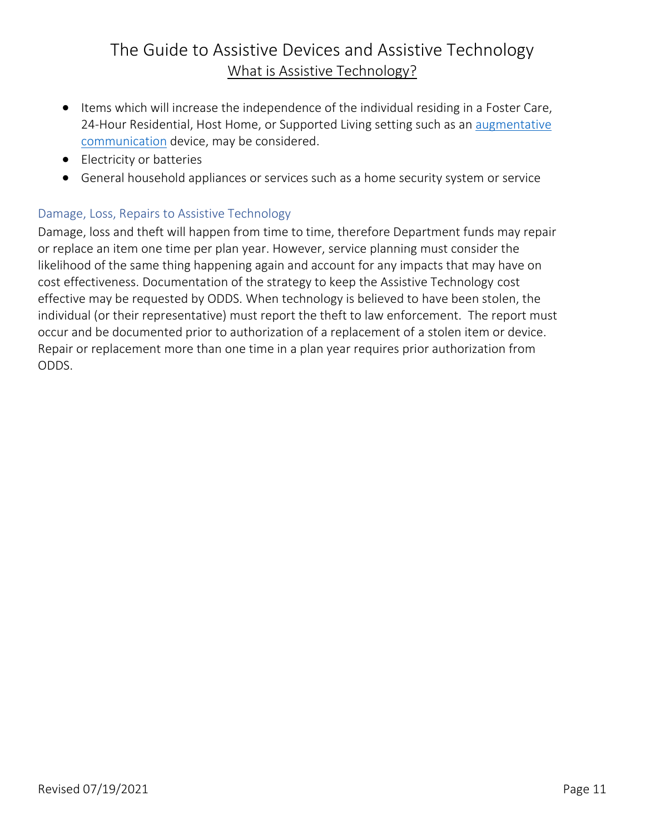- Items which will increase the independence of the individual residing in a Foster Care, 24-Hour Residential, Host Home, or Supported Living setting such as an [augmentative](#page-32-0)  [communication](#page-32-0) device, may be considered.
- Electricity or batteries
- General household appliances or services such as a home security system or service

### <span id="page-13-0"></span>Damage, Loss, Repairs to Assistive Technology

Damage, loss and theft will happen from time to time, therefore Department funds may repair or replace an item one time per plan year. However, service planning must consider the likelihood of the same thing happening again and account for any impacts that may have on cost effectiveness. Documentation of the strategy to keep the Assistive Technology cost effective may be requested by ODDS. When technology is believed to have been stolen, the individual (or their representative) must report the theft to law enforcement. The report must occur and be documented prior to authorization of a replacement of a stolen item or device. Repair or replacement more than one time in a plan year requires prior authorization from ODDS.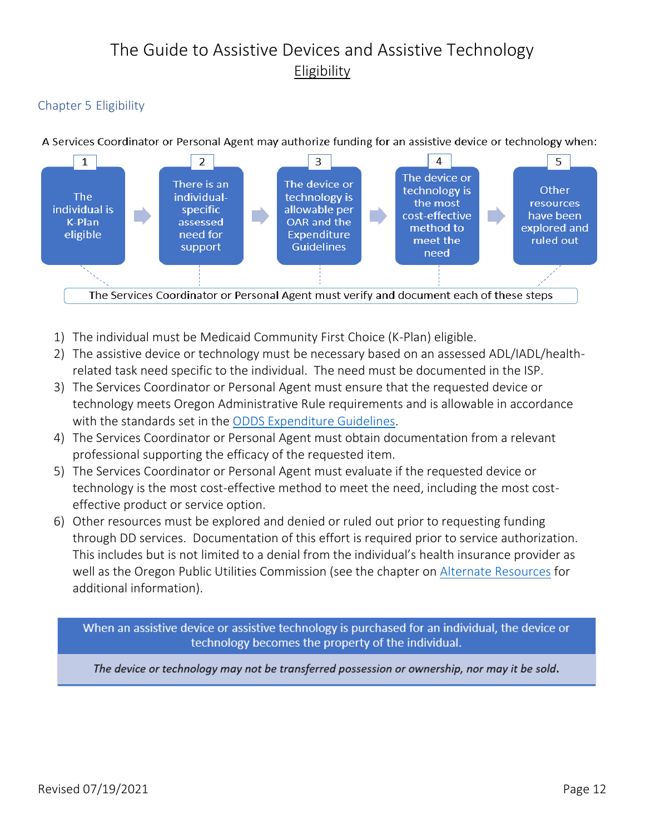## The Guide to Assistive Devices and Assistive Technology Eligibility

### <span id="page-14-0"></span>Chapter 5 Eligibility

A Services Coordinator or Personal Agent may authorize funding for an assistive device or technology when:



- 1) The individual must be Medicaid Community First Choice (K-Plan) eligible.
- 2) The assistive device or technology must be necessary based on an assessed ADL/IADL/healthrelated task need specific to the individual. The need must be documented in the ISP.
- 3) The Services Coordinator or Personal Agent must ensure that the requested device or technology meets Oregon Administrative Rule requirements and is allowable in accordance with the standards set in the [ODDS Expenditure Guidelines.](https://www.oregon.gov/DHS/SENIORS-DISABILITIES/DD/PROVIDERS-PARTNERS/Documents/ODDS-Expenditure-Guidelines.pdf)
- 4) The Services Coordinator or Personal Agent must obtain documentation from a relevant professional supporting the efficacy of the requested item.
- 5) The Services Coordinator or Personal Agent must evaluate if the requested device or technology is the most cost-effective method to meet the need, including the most costeffective product or service option.
- 6) Other resources must be explored and denied or ruled out prior to requesting funding through DD services. Documentation of this effort is required prior to service authorization. This includes but is not limited to a denial from the individual's health insurance provider as well as the Oregon Public Utilities Commission (see the chapter on [Alternate Resources](#page-18-0) for additional information).

When an assistive device or assistive technology is purchased for an individual, the device or technology becomes the property of the individual.

The device or technology may not be transferred possession or ownership, nor may it be sold.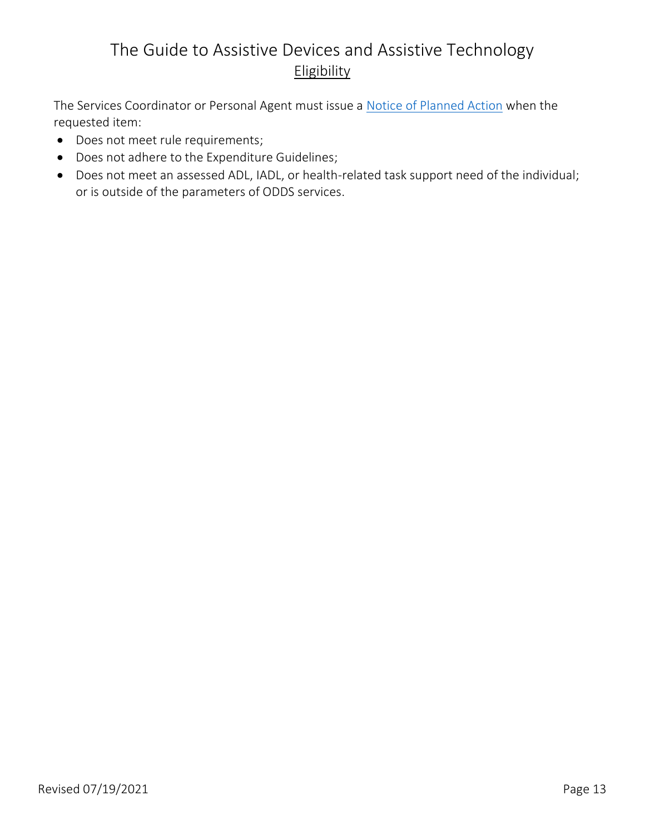### The Guide to Assistive Devices and Assistive Technology Eligibility

The Services Coordinator or Personal Agent must issue a [Notice of Planned Action](#page-34-0) when the requested item:

- Does not meet rule requirements;
- Does not adhere to the Expenditure Guidelines;
- Does not meet an assessed ADL, IADL, or health-related task support need of the individual; or is outside of the parameters of ODDS services.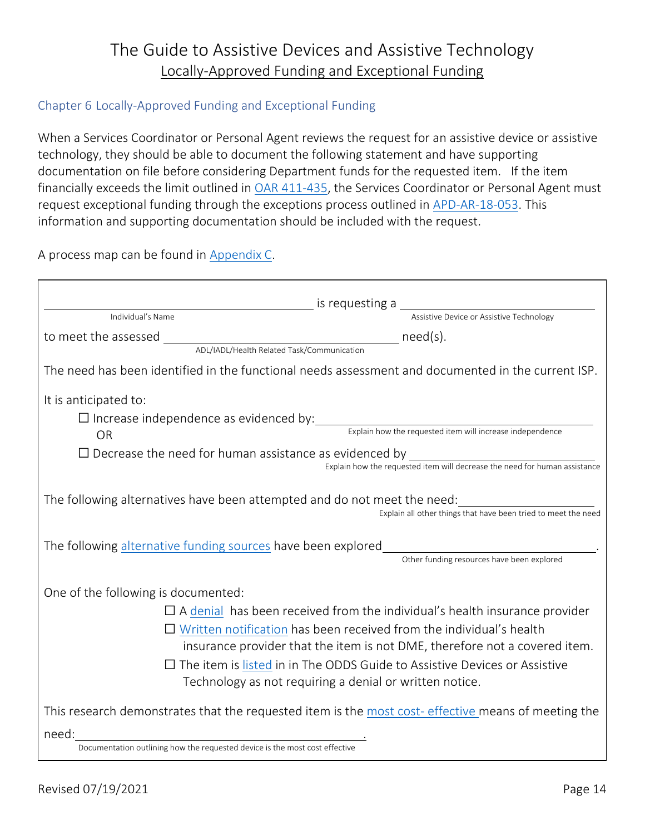### The Guide to Assistive Devices and Assistive Technology Locally-Approved Funding and Exceptional Funding

#### <span id="page-16-0"></span>Chapter 6 Locally-Approved Funding and Exceptional Funding

When a Services Coordinator or Personal Agent reviews the request for an assistive device or assistive technology, they should be able to document the following statement and have supporting documentation on file before considering Department funds for the requested item. If the item financially exceeds the limit outlined in [OAR 411-435,](https://www.oregon.gov/dhs/SENIORS-DISABILITIES/DD/ODDSRules/411-435.pdf) the Services Coordinator or Personal Agent must request exceptional funding through the exceptions process outlined in [APD-AR-18-053.](https://www.oregon.gov/dhs/SENIORS-DISABILITIES/DD/Transmittals/ar18053.pdf) This information and supporting documentation should be included with the request.

A process map can be found in [Appendix C.](#page-38-1)

| is requesting a<br>assistive Device or Assistive Technology<br>Individual's Name                                                                                                                             |  |  |  |  |
|--------------------------------------------------------------------------------------------------------------------------------------------------------------------------------------------------------------|--|--|--|--|
|                                                                                                                                                                                                              |  |  |  |  |
|                                                                                                                                                                                                              |  |  |  |  |
| The need has been identified in the functional needs assessment and documented in the current ISP.                                                                                                           |  |  |  |  |
| It is anticipated to:                                                                                                                                                                                        |  |  |  |  |
| $\Box$ Increase independence as evidenced by:<br>Explain how the requested item will increase independence                                                                                                   |  |  |  |  |
| <b>OR</b>                                                                                                                                                                                                    |  |  |  |  |
| $\Box$ Decrease the need for human assistance as evidenced by $\Box$<br>Explain how the requested item will decrease the need for human assistance                                                           |  |  |  |  |
| The following alternatives have been attempted and do not meet the need:<br>Explain all other things that have been tried to meet the need                                                                   |  |  |  |  |
| Other funding resources have been explored                                                                                                                                                                   |  |  |  |  |
| One of the following is documented:                                                                                                                                                                          |  |  |  |  |
| $\Box$ A denial has been received from the individual's health insurance provider                                                                                                                            |  |  |  |  |
| $\Box$ Written notification has been received from the individual's health                                                                                                                                   |  |  |  |  |
| insurance provider that the item is not DME, therefore not a covered item.                                                                                                                                   |  |  |  |  |
| $\Box$ The item is listed in in The ODDS Guide to Assistive Devices or Assistive                                                                                                                             |  |  |  |  |
| Technology as not requiring a denial or written notice.                                                                                                                                                      |  |  |  |  |
| This research demonstrates that the requested item is the most cost- effective means of meeting the                                                                                                          |  |  |  |  |
| <u> 1980 - Johann Barn, mars ar breithinn ar chuid ann an t-Alban ann an t-Alban ann an t-Alban ann an t-Alban a</u><br>need:<br>Documentation outlining how the requested device is the most cost effective |  |  |  |  |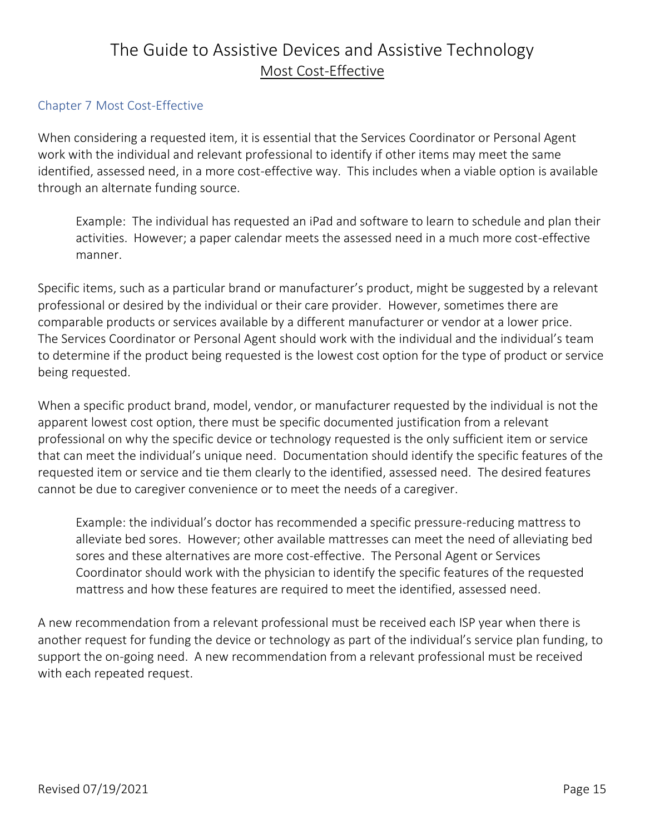### The Guide to Assistive Devices and Assistive Technology Most Cost-Effective

#### <span id="page-17-0"></span>Chapter 7 Most Cost-Effective

When considering a requested item, it is essential that the Services Coordinator or Personal Agent work with the individual and relevant professional to identify if other items may meet the same identified, assessed need, in a more cost-effective way. This includes when a viable option is available through an alternate funding source.

Example: The individual has requested an iPad and software to learn to schedule and plan their activities. However; a paper calendar meets the assessed need in a much more cost-effective manner.

Specific items, such as a particular brand or manufacturer's product, might be suggested by a relevant professional or desired by the individual or their care provider. However, sometimes there are comparable products or services available by a different manufacturer or vendor at a lower price. The Services Coordinator or Personal Agent should work with the individual and the individual's team to determine if the product being requested is the lowest cost option for the type of product or service being requested.

When a specific product brand, model, vendor, or manufacturer requested by the individual is not the apparent lowest cost option, there must be specific documented justification from a relevant professional on why the specific device or technology requested is the only sufficient item or service that can meet the individual's unique need. Documentation should identify the specific features of the requested item or service and tie them clearly to the identified, assessed need. The desired features cannot be due to caregiver convenience or to meet the needs of a caregiver.

Example: the individual's doctor has recommended a specific pressure-reducing mattress to alleviate bed sores. However; other available mattresses can meet the need of alleviating bed sores and these alternatives are more cost-effective. The Personal Agent or Services Coordinator should work with the physician to identify the specific features of the requested mattress and how these features are required to meet the identified, assessed need.

A new recommendation from a relevant professional must be received each ISP year when there is another request for funding the device or technology as part of the individual's service plan funding, to support the on-going need. A new recommendation from a relevant professional must be received with each repeated request.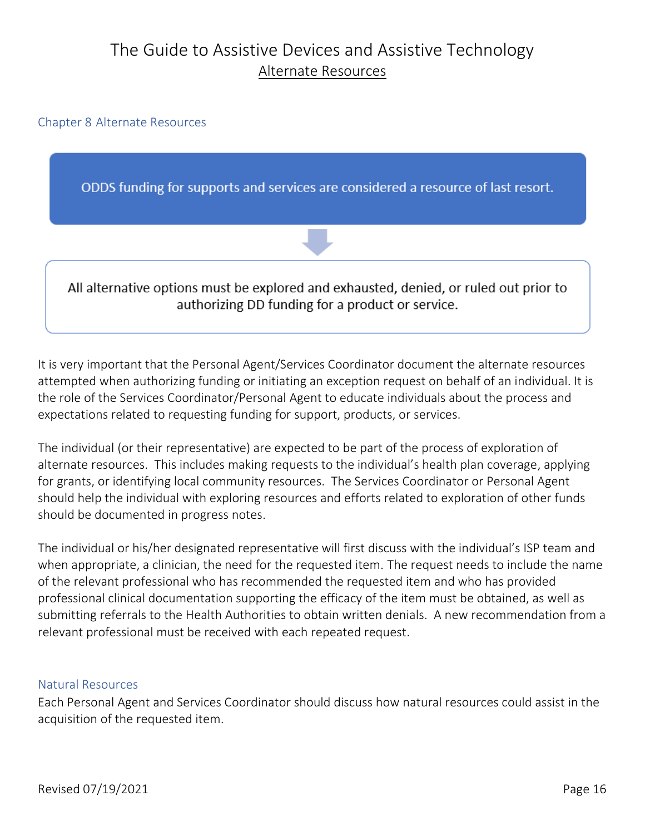### The Guide to Assistive Devices and Assistive Technology Alternate Resources

<span id="page-18-0"></span>Chapter 8 Alternate Resources

ODDS funding for supports and services are considered a resource of last resort.



All alternative options must be explored and exhausted, denied, or ruled out prior to authorizing DD funding for a product or service.

It is very important that the Personal Agent/Services Coordinator document the alternate resources attempted when authorizing funding or initiating an exception request on behalf of an individual. It is the role of the Services Coordinator/Personal Agent to educate individuals about the process and expectations related to requesting funding for support, products, or services.

The individual (or their representative) are expected to be part of the process of exploration of alternate resources. This includes making requests to the individual's health plan coverage, applying for grants, or identifying local community resources. The Services Coordinator or Personal Agent should help the individual with exploring resources and efforts related to exploration of other funds should be documented in progress notes.

The individual or his/her designated representative will first discuss with the individual's ISP team and when appropriate, a clinician, the need for the requested item. The request needs to include the name of the relevant professional who has recommended the requested item and who has provided professional clinical documentation supporting the efficacy of the item must be obtained, as well as submitting referrals to the Health Authorities to obtain written denials. A new recommendation from a relevant professional must be received with each repeated request.

#### <span id="page-18-1"></span>Natural Resources

Each Personal Agent and Services Coordinator should discuss how natural resources could assist in the acquisition of the requested item.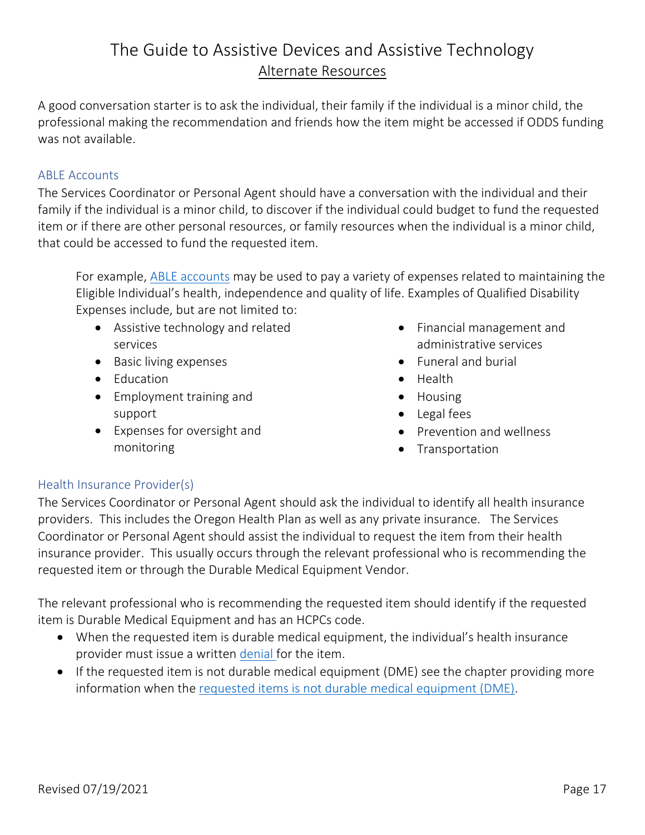### The Guide to Assistive Devices and Assistive Technology Alternate Resources

A good conversation starter is to ask the individual, their family if the individual is a minor child, the professional making the recommendation and friends how the item might be accessed if ODDS funding was not available.

#### <span id="page-19-0"></span>ABLE Accounts

The Services Coordinator or Personal Agent should have a conversation with the individual and their family if the individual is a minor child, to discover if the individual could budget to fund the requested item or if there are other personal resources, or family resources when the individual is a minor child, that could be accessed to fund the requested item.

For example, [ABLE accounts](https://www.able-now.com/resources/faqs/#qualified-disability-expenses) may be used to pay a variety of expenses related to maintaining the Eligible Individual's health, independence and quality of life. Examples of Qualified Disability Expenses include, but are not limited to:

- Assistive technology and related services
- Basic living expenses
- Education
- Employment training and support
- Expenses for oversight and monitoring
- Financial management and administrative services
- Funeral and burial
- Health
- Housing
- Legal fees
- Prevention and wellness
- Transportation

#### <span id="page-19-1"></span>Health Insurance Provider(s)

The Services Coordinator or Personal Agent should ask the individual to identify all health insurance providers. This includes the Oregon Health Plan as well as any private insurance. The Services Coordinator or Personal Agent should assist the individual to request the item from their health insurance provider. This usually occurs through the relevant professional who is recommending the requested item or through the Durable Medical Equipment Vendor.

The relevant professional who is recommending the requested item should identify if the requested item is Durable Medical Equipment and has an HCPCs code.

- When the requested item is durable medical equipment, the individual's health insurance provider must issue a written [denial](#page-22-2) for the item.
- If the requested item is not durable medical equipment (DME) see the chapter providing more information when the [requested items is not durable medical equipment \(DME\).](#page-24-0)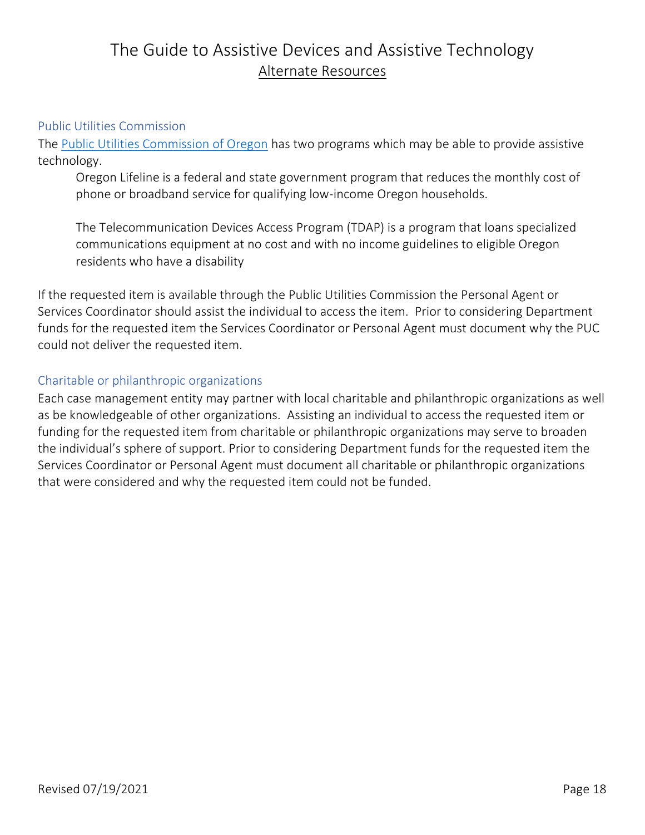### The Guide to Assistive Devices and Assistive Technology Alternate Resources

#### <span id="page-20-0"></span>Public Utilities Commission

The [Public Utilities Commission of Oregon](https://www.oregon.gov/puc/Pages/default.aspx?utm_source=PUC&utm_medium=egov_redirect&utm_campaign=https%3A%2F%2Fpuc.state.or.us) has two programs which may be able to provide assistive technology.

Oregon Lifeline is a federal and state government program that reduces the monthly cost of phone or broadband service for qualifying low-income Oregon households.

The Telecommunication Devices Access Program (TDAP) is a program that loans specialized communications equipment at no cost and with no income guidelines to eligible Oregon residents who have a disability

If the requested item is available through the Public Utilities Commission the Personal Agent or Services Coordinator should assist the individual to access the item. Prior to considering Department funds for the requested item the Services Coordinator or Personal Agent must document why the PUC could not deliver the requested item.

#### <span id="page-20-1"></span>Charitable or philanthropic organizations

Each case management entity may partner with local charitable and philanthropic organizations as well as be knowledgeable of other organizations. Assisting an individual to access the requested item or funding for the requested item from charitable or philanthropic organizations may serve to broaden the individual's sphere of support. Prior to considering Department funds for the requested item the Services Coordinator or Personal Agent must document all charitable or philanthropic organizations that were considered and why the requested item could not be funded.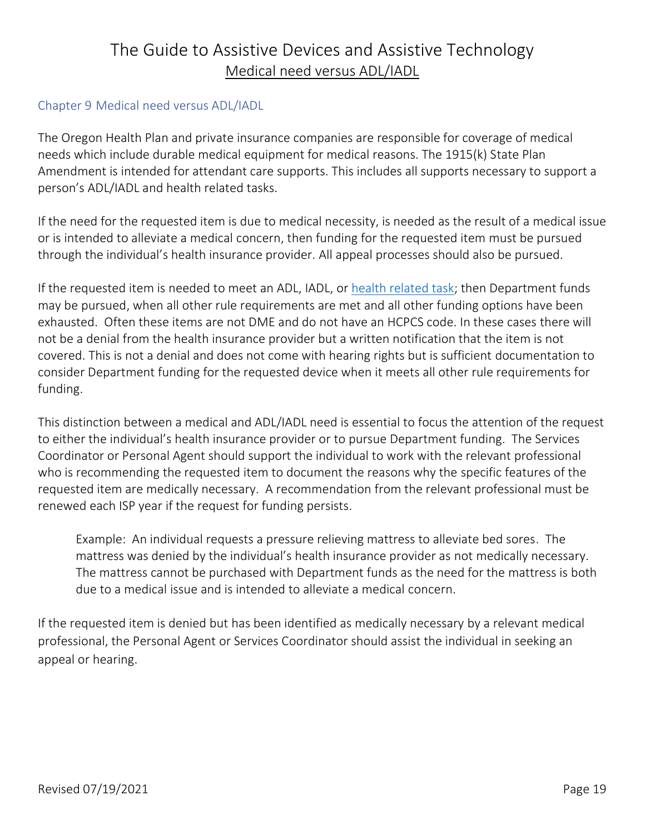### The Guide to Assistive Devices and Assistive Technology Medical need versus ADL/IADL

#### <span id="page-21-0"></span>Chapter 9 Medical need versus ADL/IADL

The Oregon Health Plan and private insurance companies are responsible for coverage of medical needs which include durable medical equipment for medical reasons. The 1915(k) State Plan Amendment is intended for attendant care supports. This includes all supports necessary to support a person's ADL/IADL and health related tasks.

If the need for the requested item is due to medical necessity, is needed as the result of a medical issue or is intended to alleviate a medical concern, then funding for the requested item must be pursued through the individual's health insurance provider. All appeal processes should also be pursued.

If the requested item is needed to meet an ADL, IADL, or [health related task;](#page-5-1) then Department funds may be pursued, when all other rule requirements are met and all other funding options have been exhausted. Often these items are not DME and do not have an HCPCS code. In these cases there will not be a denial from the health insurance provider but a written notification that the item is not covered. This is not a denial and does not come with hearing rights but is sufficient documentation to consider Department funding for the requested device when it meets all other rule requirements for funding.

This distinction between a medical and ADL/IADL need is essential to focus the attention of the request to either the individual's health insurance provider or to pursue Department funding. The Services Coordinator or Personal Agent should support the individual to work with the relevant professional who is recommending the requested item to document the reasons why the specific features of the requested item are medically necessary. A recommendation from the relevant professional must be renewed each ISP year if the request for funding persists.

Example: An individual requests a pressure relieving mattress to alleviate bed sores. The mattress was denied by the individual's health insurance provider as not medically necessary. The mattress cannot be purchased with Department funds as the need for the mattress is both due to a medical issue and is intended to alleviate a medical concern.

If the requested item is denied but has been identified as medically necessary by a relevant medical professional, the Personal Agent or Services Coordinator should assist the individual in seeking an appeal or hearing.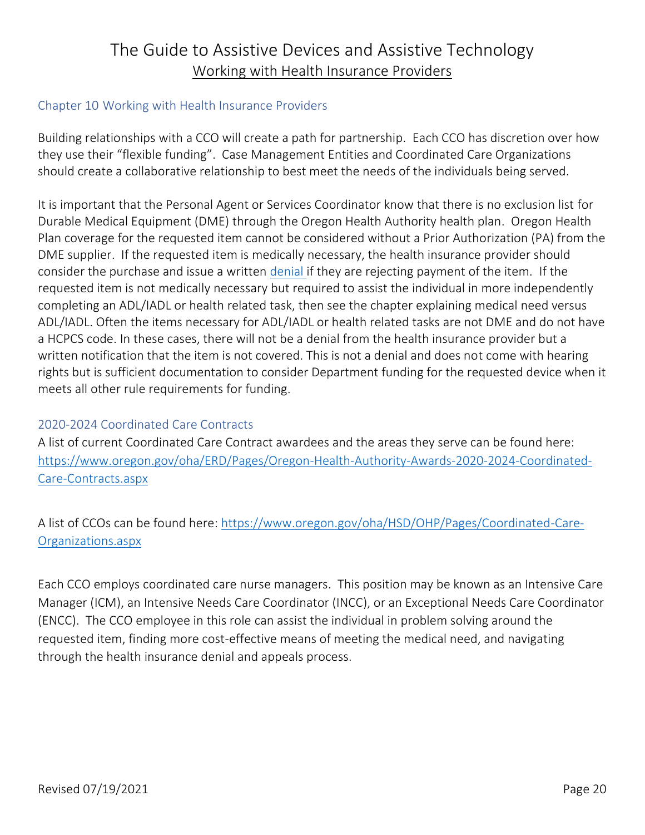### The Guide to Assistive Devices and Assistive Technology Working with Health Insurance Providers

#### <span id="page-22-0"></span>Chapter 10 Working with Health Insurance Providers

<span id="page-22-2"></span>Building relationships with a CCO will create a path for partnership. Each CCO has discretion over how they use their "flexible funding". Case Management Entities and Coordinated Care Organizations should create a collaborative relationship to best meet the needs of the individuals being served.

It is important that the Personal Agent or Services Coordinator know that there is no exclusion list for Durable Medical Equipment (DME) through the Oregon Health Authority health plan. Oregon Health Plan coverage for the requested item cannot be considered without a Prior Authorization (PA) from the DME supplier. If the requested item is medically necessary, the health insurance provider should consider the purchase and issue a written [denial i](#page-23-0)f they are rejecting payment of the item. If the requested item is not medically necessary but required to assist the individual in more independently completing an ADL/IADL or health related task, then see the chapter explaining medical need versus ADL/IADL. Often the items necessary for ADL/IADL or health related tasks are not DME and do not have a HCPCS code. In these cases, there will not be a denial from the health insurance provider but a written notification that the item is not covered. This is not a denial and does not come with hearing rights but is sufficient documentation to consider Department funding for the requested device when it meets all other rule requirements for funding.

### <span id="page-22-1"></span>2020-2024 Coordinated Care Contracts

A list of current Coordinated Care Contract awardees and the areas they serve can be found here: [https://www.oregon.gov/oha/ERD/Pages/Oregon-Health-Authority-Awards-2020-2024-Coordinated-](https://www.oregon.gov/oha/ERD/Pages/Oregon-Health-Authority-Awards-2020-2024-Coordinated-Care-Contracts.aspx)[Care-Contracts.aspx](https://www.oregon.gov/oha/ERD/Pages/Oregon-Health-Authority-Awards-2020-2024-Coordinated-Care-Contracts.aspx)

A list of CCOs can be found here: [https://www.oregon.gov/oha/HSD/OHP/Pages/Coordinated-Care-](https://www.oregon.gov/oha/HSD/OHP/Pages/Coordinated-Care-Organizations.aspx)[Organizations.aspx](https://www.oregon.gov/oha/HSD/OHP/Pages/Coordinated-Care-Organizations.aspx)

Each CCO employs coordinated care nurse managers. This position may be known as an Intensive Care Manager (ICM), an Intensive Needs Care Coordinator (INCC), or an Exceptional Needs Care Coordinator (ENCC). The CCO employee in this role can assist the individual in problem solving around the requested item, finding more cost-effective means of meeting the medical need, and navigating through the health insurance denial and appeals process.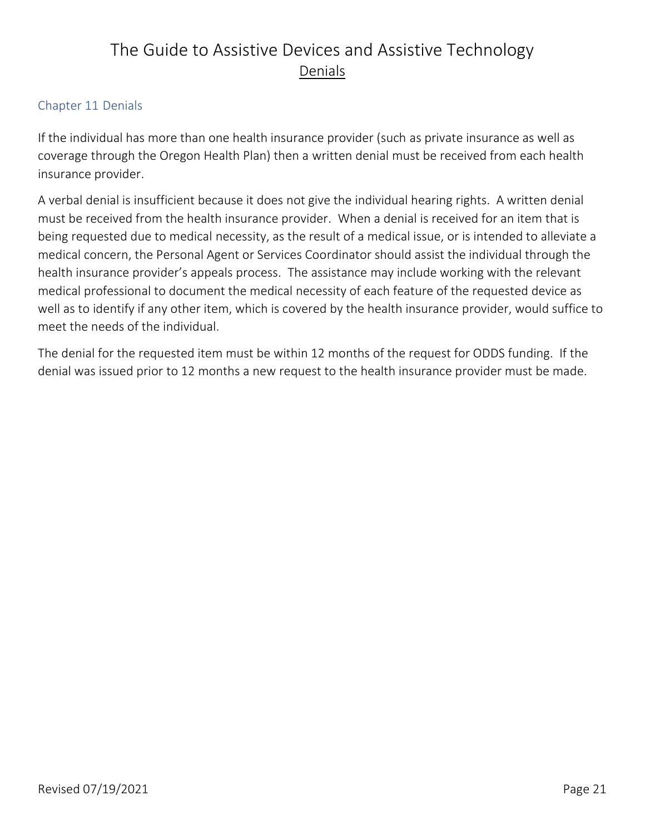# The Guide to Assistive Devices and Assistive Technology Denials

### <span id="page-23-0"></span>Chapter 11 Denials

If the individual has more than one health insurance provider (such as private insurance as well as coverage through the Oregon Health Plan) then a written denial must be received from each health insurance provider.

A verbal denial is insufficient because it does not give the individual hearing rights. A written denial must be received from the health insurance provider. When a denial is received for an item that is being requested due to medical necessity, as the result of a medical issue, or is intended to alleviate a medical concern, the Personal Agent or Services Coordinator should assist the individual through the health insurance provider's appeals process. The assistance may include working with the relevant medical professional to document the medical necessity of each feature of the requested device as well as to identify if any other item, which is covered by the health insurance provider, would suffice to meet the needs of the individual.

The denial for the requested item must be within 12 months of the request for ODDS funding. If the denial was issued prior to 12 months a new request to the health insurance provider must be made.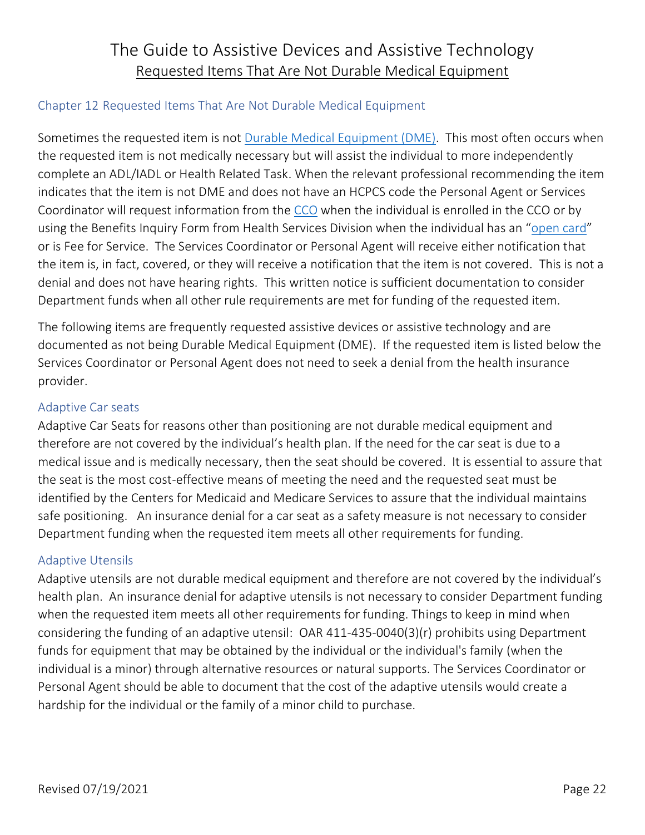### <span id="page-24-0"></span>Chapter 12 Requested Items That Are Not Durable Medical Equipment

Sometimes the requested item is not [Durable Medical Equipment \(DME\).](#page-5-0) This most often occurs when the requested item is not medically necessary but will assist the individual to more independently complete an ADL/IADL or Health Related Task. When the relevant professional recommending the item indicates that the item is not DME and does not have an HCPCS code the Personal Agent or Services Coordinator will request information from the [CCO](#page-22-1) when the individual is enrolled in the CCO or by using the Benefits Inquiry Form from Health Services Division when the individual has an "[open card](#page-29-0)" or is Fee for Service. The Services Coordinator or Personal Agent will receive either notification that the item is, in fact, covered, or they will receive a notification that the item is not covered. This is not a denial and does not have hearing rights. This written notice is sufficient documentation to consider Department funds when all other rule requirements are met for funding of the requested item.

The following items are frequently requested assistive devices or assistive technology and are documented as not being Durable Medical Equipment (DME). If the requested item is listed below the Services Coordinator or Personal Agent does not need to seek a denial from the health insurance provider.

### <span id="page-24-1"></span>Adaptive Car seats

Adaptive Car Seats for reasons other than positioning are not durable medical equipment and therefore are not covered by the individual's health plan. If the need for the car seat is due to a medical issue and is medically necessary, then the seat should be covered. It is essential to assure that the seat is the most cost-effective means of meeting the need and the requested seat must be identified by the Centers for Medicaid and Medicare Services to assure that the individual maintains safe positioning. An insurance denial for a car seat as a safety measure is not necessary to consider Department funding when the requested item meets all other requirements for funding.

#### <span id="page-24-2"></span>Adaptive Utensils

Adaptive utensils are not durable medical equipment and therefore are not covered by the individual's health plan. An insurance denial for adaptive utensils is not necessary to consider Department funding when the requested item meets all other requirements for funding. Things to keep in mind when considering the funding of an adaptive utensil: OAR 411-435-0040(3)(r) prohibits using Department funds for equipment that may be obtained by the individual or the individual's family (when the individual is a minor) through alternative resources or natural supports. The Services Coordinator or Personal Agent should be able to document that the cost of the adaptive utensils would create a hardship for the individual or the family of a minor child to purchase.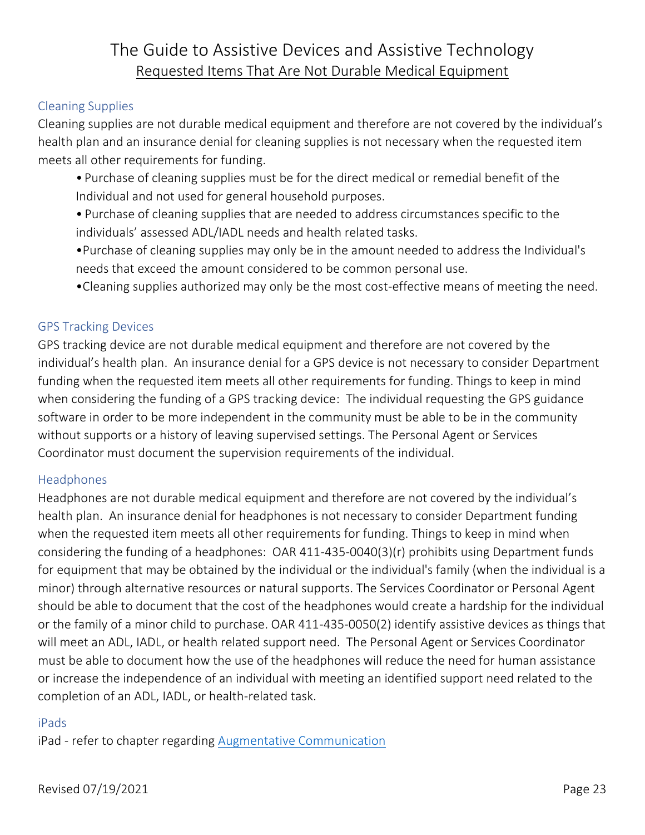#### <span id="page-25-0"></span>Cleaning Supplies

Cleaning supplies are not durable medical equipment and therefore are not covered by the individual's health plan and an insurance denial for cleaning supplies is not necessary when the requested item meets all other requirements for funding.

- Purchase of cleaning supplies must be for the direct medical or remedial benefit of the Individual and not used for general household purposes.
- Purchase of cleaning supplies that are needed to address circumstances specific to the individuals' assessed ADL/IADL needs and health related tasks.
- •Purchase of cleaning supplies may only be in the amount needed to address the Individual's needs that exceed the amount considered to be common personal use.
- •Cleaning supplies authorized may only be the most cost-effective means of meeting the need.

### <span id="page-25-1"></span>GPS Tracking Devices

GPS tracking device are not durable medical equipment and therefore are not covered by the individual's health plan. An insurance denial for a GPS device is not necessary to consider Department funding when the requested item meets all other requirements for funding. Things to keep in mind when considering the funding of a GPS tracking device: The individual requesting the GPS guidance software in order to be more independent in the community must be able to be in the community without supports or a history of leaving supervised settings. The Personal Agent or Services Coordinator must document the supervision requirements of the individual.

#### <span id="page-25-2"></span>Headphones

Headphones are not durable medical equipment and therefore are not covered by the individual's health plan. An insurance denial for headphones is not necessary to consider Department funding when the requested item meets all other requirements for funding. Things to keep in mind when considering the funding of a headphones: OAR 411-435-0040(3)(r) prohibits using Department funds for equipment that may be obtained by the individual or the individual's family (when the individual is a minor) through alternative resources or natural supports. The Services Coordinator or Personal Agent should be able to document that the cost of the headphones would create a hardship for the individual or the family of a minor child to purchase. OAR 411-435-0050(2) identify assistive devices as things that will meet an ADL, IADL, or health related support need. The Personal Agent or Services Coordinator must be able to document how the use of the headphones will reduce the need for human assistance or increase the independence of an individual with meeting an identified support need related to the completion of an ADL, IADL, or health-related task.

#### <span id="page-25-3"></span>iPads

iPad - refer to chapter regarding [Augmentative Communication](#page-32-0)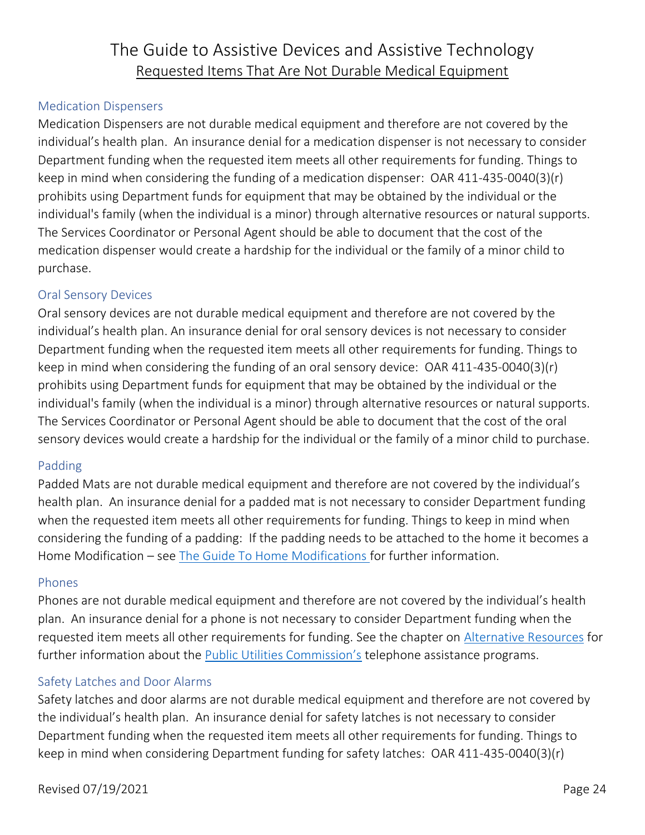#### <span id="page-26-0"></span>Medication Dispensers

Medication Dispensers are not durable medical equipment and therefore are not covered by the individual's health plan. An insurance denial for a medication dispenser is not necessary to consider Department funding when the requested item meets all other requirements for funding. Things to keep in mind when considering the funding of a medication dispenser: OAR 411-435-0040(3)(r) prohibits using Department funds for equipment that may be obtained by the individual or the individual's family (when the individual is a minor) through alternative resources or natural supports. The Services Coordinator or Personal Agent should be able to document that the cost of the medication dispenser would create a hardship for the individual or the family of a minor child to purchase.

#### <span id="page-26-1"></span>Oral Sensory Devices

Oral sensory devices are not durable medical equipment and therefore are not covered by the individual's health plan. An insurance denial for oral sensory devices is not necessary to consider Department funding when the requested item meets all other requirements for funding. Things to keep in mind when considering the funding of an oral sensory device: OAR 411-435-0040(3)(r) prohibits using Department funds for equipment that may be obtained by the individual or the individual's family (when the individual is a minor) through alternative resources or natural supports. The Services Coordinator or Personal Agent should be able to document that the cost of the oral sensory devices would create a hardship for the individual or the family of a minor child to purchase.

#### <span id="page-26-2"></span>Padding

Padded Mats are not durable medical equipment and therefore are not covered by the individual's health plan. An insurance denial for a padded mat is not necessary to consider Department funding when the requested item meets all other requirements for funding. Things to keep in mind when considering the funding of a padding: If the padding needs to be attached to the home it becomes a Home Modification – see [The Guide To Home Modifications f](https://www.dhs.state.or.us/spd/tools/dd/cm/Guide%20to%20Home%20Modifications.pdf)or further information.

#### <span id="page-26-3"></span>Phones

Phones are not durable medical equipment and therefore are not covered by the individual's health plan. An insurance denial for a phone is not necessary to consider Department funding when the requested item meets all other requirements for funding. See the chapter on [Alternative Resources](#page-18-0) for further information about the [Public Utilities Commission's](https://www.oregon.gov/puc/Pages/default.aspx) telephone assistance programs.

#### <span id="page-26-4"></span>Safety Latches and Door Alarms

Safety latches and door alarms are not durable medical equipment and therefore are not covered by the individual's health plan. An insurance denial for safety latches is not necessary to consider Department funding when the requested item meets all other requirements for funding. Things to keep in mind when considering Department funding for safety latches: OAR 411-435-0040(3)(r)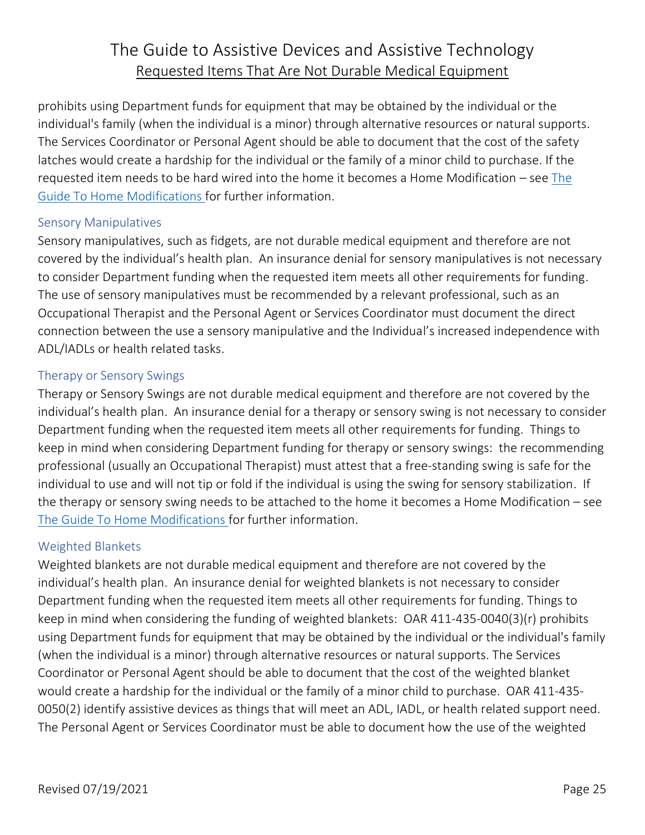prohibits using Department funds for equipment that may be obtained by the individual or the individual's family (when the individual is a minor) through alternative resources or natural supports. The Services Coordinator or Personal Agent should be able to document that the cost of the safety latches would create a hardship for the individual or the family of a minor child to purchase. If the requested item needs to be hard wired into the home it becomes a Home Modification – see The [Guide To Home Modifications f](https://www.dhs.state.or.us/spd/tools/dd/cm/Guide%20to%20Home%20Modifications.pdf)or further information.

#### <span id="page-27-0"></span>Sensory Manipulatives

Sensory manipulatives, such as fidgets, are not durable medical equipment and therefore are not covered by the individual's health plan. An insurance denial for sensory manipulatives is not necessary to consider Department funding when the requested item meets all other requirements for funding. The use of sensory manipulatives must be recommended by a relevant professional, such as an Occupational Therapist and the Personal Agent or Services Coordinator must document the direct connection between the use a sensory manipulative and the Individual's increased independence with ADL/IADLs or health related tasks.

### <span id="page-27-1"></span>Therapy or Sensory Swings

Therapy or Sensory Swings are not durable medical equipment and therefore are not covered by the individual's health plan. An insurance denial for a therapy or sensory swing is not necessary to consider Department funding when the requested item meets all other requirements for funding. Things to keep in mind when considering Department funding for therapy or sensory swings: the recommending professional (usually an Occupational Therapist) must attest that a free-standing swing is safe for the individual to use and will not tip or fold if the individual is using the swing for sensory stabilization. If the therapy or sensory swing needs to be attached to the home it becomes a Home Modification – see [The Guide To Home Modifications f](https://www.dhs.state.or.us/spd/tools/dd/cm/Guide%20to%20Home%20Modifications.pdf)or further information.

#### <span id="page-27-2"></span>Weighted Blankets

Weighted blankets are not durable medical equipment and therefore are not covered by the individual's health plan. An insurance denial for weighted blankets is not necessary to consider Department funding when the requested item meets all other requirements for funding. Things to keep in mind when considering the funding of weighted blankets: OAR 411-435-0040(3)(r) prohibits using Department funds for equipment that may be obtained by the individual or the individual's family (when the individual is a minor) through alternative resources or natural supports. The Services Coordinator or Personal Agent should be able to document that the cost of the weighted blanket would create a hardship for the individual or the family of a minor child to purchase. OAR 411-435- 0050(2) identify assistive devices as things that will meet an ADL, IADL, or health related support need. The Personal Agent or Services Coordinator must be able to document how the use of the weighted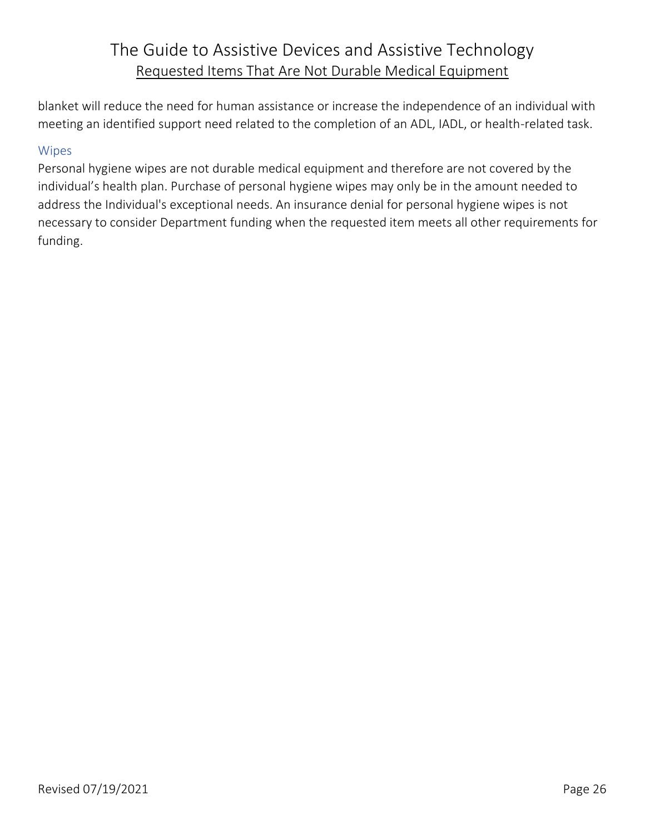blanket will reduce the need for human assistance or increase the independence of an individual with meeting an identified support need related to the completion of an ADL, IADL, or health-related task.

#### <span id="page-28-0"></span>Wipes

Personal hygiene wipes are not durable medical equipment and therefore are not covered by the individual's health plan. Purchase of personal hygiene wipes may only be in the amount needed to address the Individual's exceptional needs. An insurance denial for personal hygiene wipes is not necessary to consider Department funding when the requested item meets all other requirements for funding.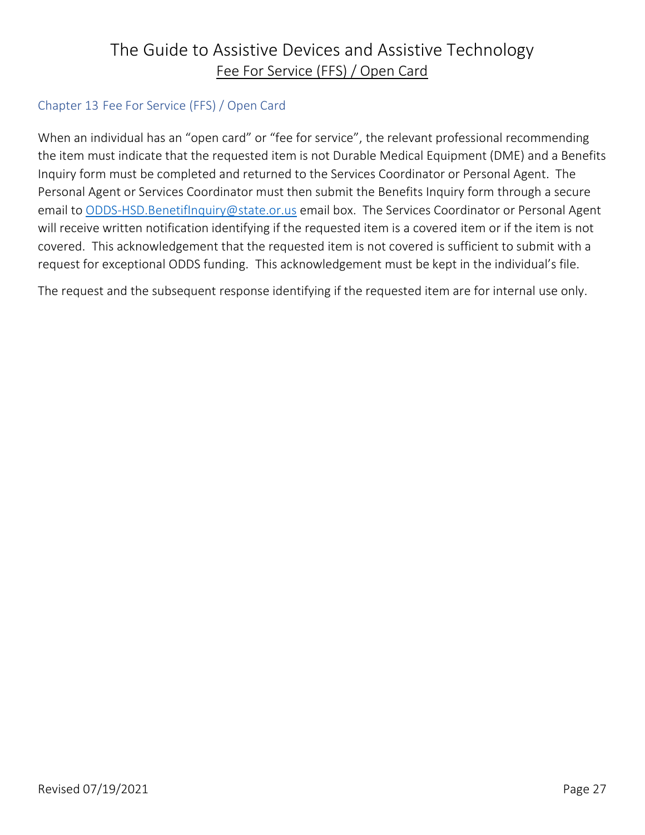### The Guide to Assistive Devices and Assistive Technology Fee For Service (FFS) / Open Card

### <span id="page-29-0"></span>Chapter 13 Fee For Service (FFS) / Open Card

When an individual has an "open card" or "fee for service", the relevant professional recommending the item must indicate that the requested item is not Durable Medical Equipment (DME) and a Benefits Inquiry form must be completed and returned to the Services Coordinator or Personal Agent. The Personal Agent or Services Coordinator must then submit the Benefits Inquiry form through a secure email to [ODDS-HSD.BenetifInquiry@state.or.us](mailto:ODDS-HSD.BenetifInquiry@state.or.us) email box. The Services Coordinator or Personal Agent will receive written notification identifying if the requested item is a covered item or if the item is not covered. This acknowledgement that the requested item is not covered is sufficient to submit with a request for exceptional ODDS funding. This acknowledgement must be kept in the individual's file.

The request and the subsequent response identifying if the requested item are for internal use only.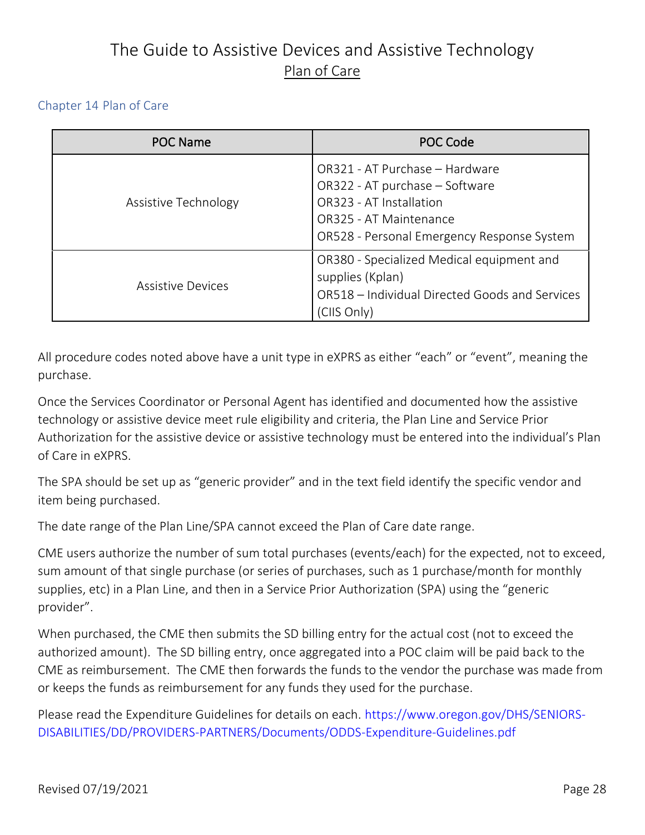# The Guide to Assistive Devices and Assistive Technology Plan of Care

#### <span id="page-30-0"></span>Chapter 14 Plan of Care

<span id="page-30-1"></span>

| <b>POC Name</b>          | POC Code                                                                                                                                                            |
|--------------------------|---------------------------------------------------------------------------------------------------------------------------------------------------------------------|
| Assistive Technology     | OR321 - AT Purchase - Hardware<br>OR322 - AT purchase - Software<br>OR323 - AT Installation<br>OR325 - AT Maintenance<br>OR528 - Personal Emergency Response System |
| <b>Assistive Devices</b> | OR380 - Specialized Medical equipment and<br>supplies (Kplan)<br>OR518 - Individual Directed Goods and Services<br>(CIIS Only)                                      |

All procedure codes noted above have a unit type in eXPRS as either "each" or "event", meaning the purchase.

Once the Services Coordinator or Personal Agent has identified and documented how the assistive technology or assistive device meet rule eligibility and criteria, the Plan Line and Service Prior Authorization for the assistive device or assistive technology must be entered into the individual's Plan of Care in eXPRS.

The SPA should be set up as "generic provider" and in the text field identify the specific vendor and item being purchased.

The date range of the Plan Line/SPA cannot exceed the Plan of Care date range.

CME users authorize the number of sum total purchases (events/each) for the expected, not to exceed, sum amount of that single purchase (or series of purchases, such as 1 purchase/month for monthly supplies, etc) in a Plan Line, and then in a Service Prior Authorization (SPA) using the "generic provider".

When purchased, the CME then submits the SD billing entry for the actual cost (not to exceed the authorized amount). The SD billing entry, once aggregated into a POC claim will be paid back to the CME as reimbursement. The CME then forwards the funds to the vendor the purchase was made from or keeps the funds as reimbursement for any funds they used for the purchase.

Please read the Expenditure Guidelines for details on each. https://www.oregon.gov/DHS/SENIORS-DISABILITIES/DD/PROVIDERS-PARTNERS/Documents/ODDS-Expenditure-Guidelines.pdf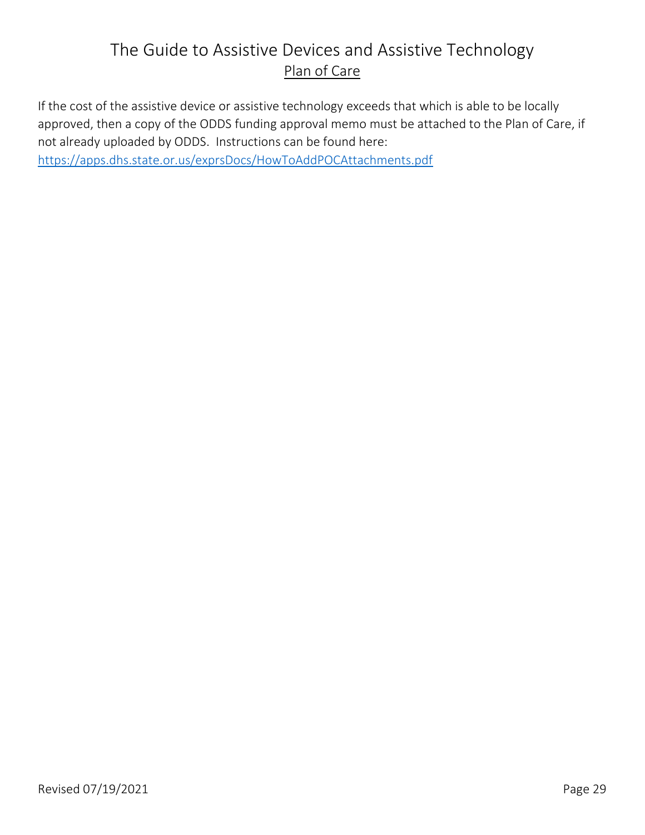# The Guide to Assistive Devices and Assistive Technology Plan of Care

If the cost of the assistive device or assistive technology exceeds that which is able to be locally approved, then a copy of the ODDS funding approval memo must be attached to the Plan of Care, if not already uploaded by ODDS. Instructions can be found here: <https://apps.dhs.state.or.us/exprsDocs/HowToAddPOCAttachments.pdf>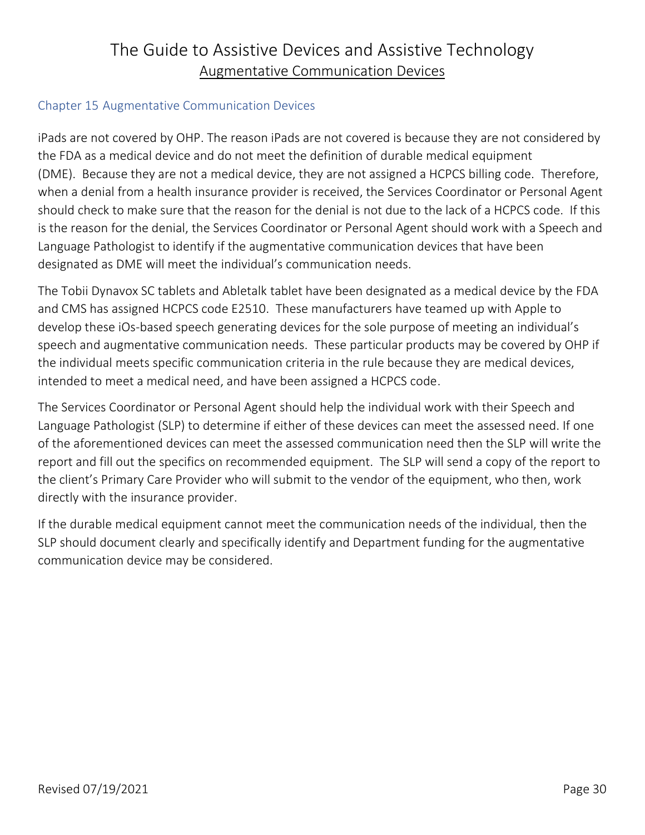### The Guide to Assistive Devices and Assistive Technology Augmentative Communication Devices

#### <span id="page-32-0"></span>Chapter 15 Augmentative Communication Devices

iPads are not covered by OHP. The reason iPads are not covered is because they are not considered by the FDA as a medical device and do not meet the definition of durable medical equipment (DME). Because they are not a medical device, they are not assigned a HCPCS billing code. Therefore, when a denial from a health insurance provider is received, the Services Coordinator or Personal Agent should check to make sure that the reason for the denial is not due to the lack of a HCPCS code. If this is the reason for the denial, the Services Coordinator or Personal Agent should work with a Speech and Language Pathologist to identify if the augmentative communication devices that have been designated as DME will meet the individual's communication needs.

The Tobii Dynavox SC tablets and Abletalk tablet have been designated as a medical device by the FDA and CMS has assigned HCPCS code E2510. These manufacturers have teamed up with Apple to develop these iOs-based speech generating devices for the sole purpose of meeting an individual's speech and augmentative communication needs. These particular products may be covered by OHP if the individual meets specific communication criteria in the rule because they are medical devices, intended to meet a medical need, and have been assigned a HCPCS code.

The Services Coordinator or Personal Agent should help the individual work with their Speech and Language Pathologist (SLP) to determine if either of these devices can meet the assessed need. If one of the aforementioned devices can meet the assessed communication need then the SLP will write the report and fill out the specifics on recommended equipment. The SLP will send a copy of the report to the client's Primary Care Provider who will submit to the vendor of the equipment, who then, work directly with the insurance provider.

If the durable medical equipment cannot meet the communication needs of the individual, then the SLP should document clearly and specifically identify and Department funding for the augmentative communication device may be considered.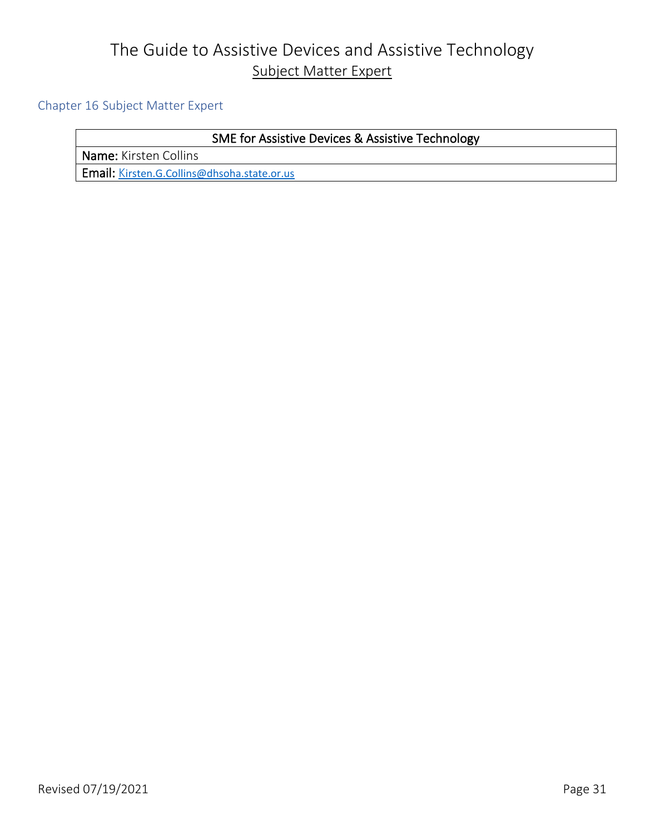## The Guide to Assistive Devices and Assistive Technology Subject Matter Expert

#### <span id="page-33-0"></span>Chapter 16 Subject Matter Expert

### SME for Assistive Devices & Assistive Technology

Name: Kirsten Collins

Email: [K](mailto:Kirsten.G.Collins@dhsoha.state.or.us)[irsten.G.Collins@dhsoha.state.or.us](mailto:Kirsten.G.Collins@dhsoha.state.or.us)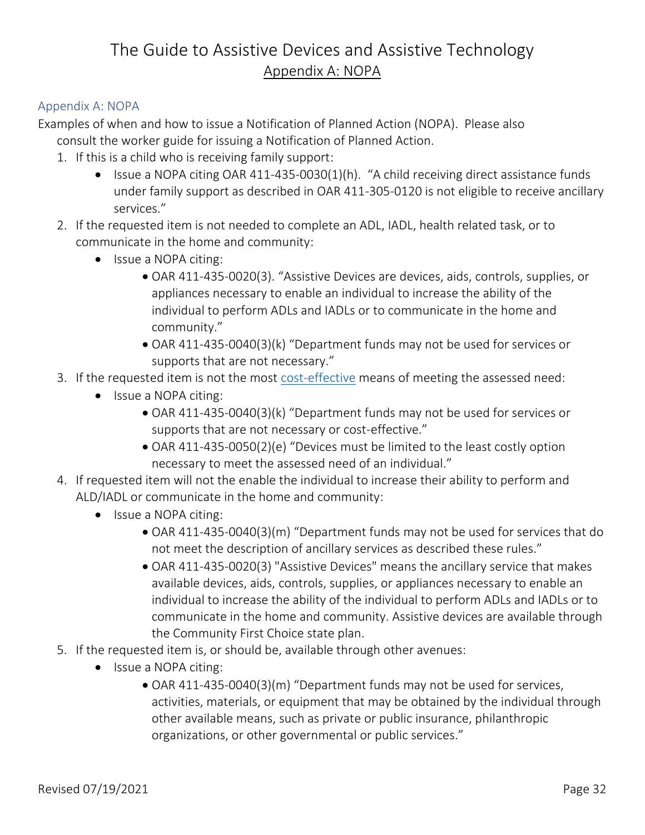#### <span id="page-34-0"></span>Appendix A: NOPA

Examples of when and how to issue a Notification of Planned Action (NOPA). Please also consult the worker guide for issuing a Notification of Planned Action.

- 1. If this is a child who is receiving family support:
	- Issue a NOPA citing OAR 411-435-0030(1)(h). "A child receiving direct assistance funds under family support as described in OAR 411-305-0120 is not eligible to receive ancillary services."
- 2. If the requested item is not needed to complete an ADL, IADL, health related task, or to communicate in the home and community:
	- Issue a NOPA citing:
		- OAR 411-435-0020(3). "Assistive Devices are devices, aids, controls, supplies, or appliances necessary to enable an individual to increase the ability of the individual to perform ADLs and IADLs or to communicate in the home and community."
		- OAR 411-435-0040(3)(k) "Department funds may not be used for services or supports that are not necessary."
- 3. If the requested item is not the most [cost-effective](#page-17-0) means of meeting the assessed need:
	- Issue a NOPA citing:
		- OAR 411-435-0040(3)(k) "Department funds may not be used for services or supports that are not necessary or cost-effective."
		- OAR 411-435-0050(2)(e) "Devices must be limited to the least costly option necessary to meet the assessed need of an individual."
- 4. If requested item will not the enable the individual to increase their ability to perform and ALD/IADL or communicate in the home and community:
	- Issue a NOPA citing:
		- OAR 411-435-0040(3)(m) "Department funds may not be used for services that do not meet the description of ancillary services as described these rules."
		- OAR 411-435-0020(3) "Assistive Devices" means the ancillary service that makes available devices, aids, controls, supplies, or appliances necessary to enable an individual to increase the ability of the individual to perform ADLs and IADLs or to communicate in the home and community. Assistive devices are available through the Community First Choice state plan.
- 5. If the requested item is, or should be, available through other avenues:
	- Issue a NOPA citing:
		- OAR 411-435-0040(3)(m) "Department funds may not be used for services, activities, materials, or equipment that may be obtained by the individual through other available means, such as private or public insurance, philanthropic organizations, or other governmental or public services."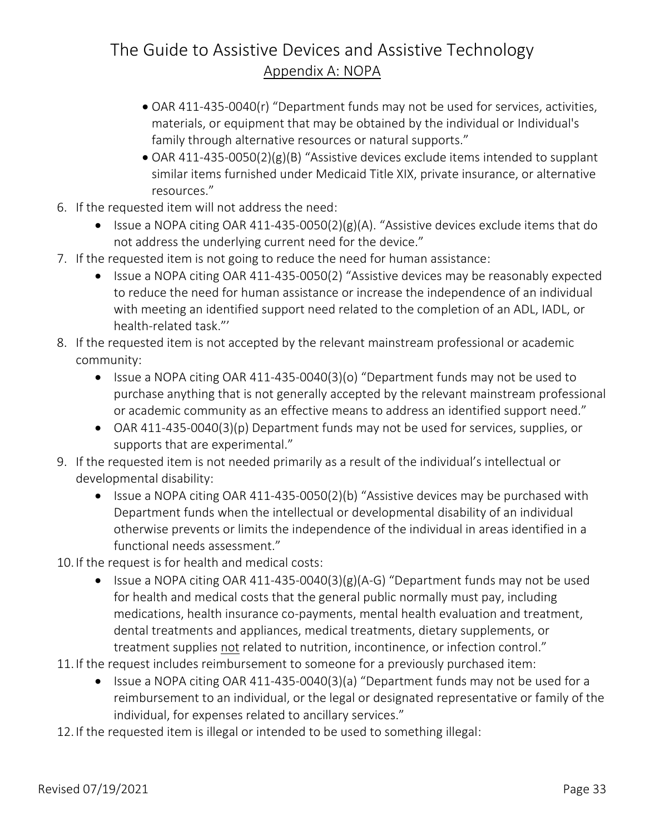- OAR 411-435-0040(r) "Department funds may not be used for services, activities, materials, or equipment that may be obtained by the individual or Individual's family through alternative resources or natural supports."
- OAR 411-435-0050(2)(g)(B) "Assistive devices exclude items intended to supplant similar items furnished under Medicaid Title XIX, private insurance, or alternative resources."
- 6. If the requested item will not address the need:
	- Issue a NOPA citing OAR 411-435-0050(2)(g)(A). "Assistive devices exclude items that do not address the underlying current need for the device."
- 7. If the requested item is not going to reduce the need for human assistance:
	- Issue a NOPA citing OAR 411-435-0050(2) "Assistive devices may be reasonably expected to reduce the need for human assistance or increase the independence of an individual with meeting an identified support need related to the completion of an ADL, IADL, or health-related task."'
- 8. If the requested item is not accepted by the relevant mainstream professional or academic community:
	- Issue a NOPA citing OAR 411-435-0040(3)(o) "Department funds may not be used to purchase anything that is not generally accepted by the relevant mainstream professional or academic community as an effective means to address an identified support need."
	- OAR 411-435-0040(3)(p) Department funds may not be used for services, supplies, or supports that are experimental."
- 9. If the requested item is not needed primarily as a result of the individual's intellectual or developmental disability:
	- Issue a NOPA citing OAR 411-435-0050(2)(b) "Assistive devices may be purchased with Department funds when the intellectual or developmental disability of an individual otherwise prevents or limits the independence of the individual in areas identified in a functional needs assessment."
- 10. If the request is for health and medical costs:
	- Issue a NOPA citing OAR 411-435-0040(3)(g)(A-G) "Department funds may not be used for health and medical costs that the general public normally must pay, including medications, health insurance co-payments, mental health evaluation and treatment, dental treatments and appliances, medical treatments, dietary supplements, or treatment supplies not related to nutrition, incontinence, or infection control."
- 11. If the request includes reimbursement to someone for a previously purchased item:
	- Issue a NOPA citing OAR 411-435-0040(3)(a) "Department funds may not be used for a reimbursement to an individual, or the legal or designated representative or family of the individual, for expenses related to ancillary services."
- 12. If the requested item is illegal or intended to be used to something illegal: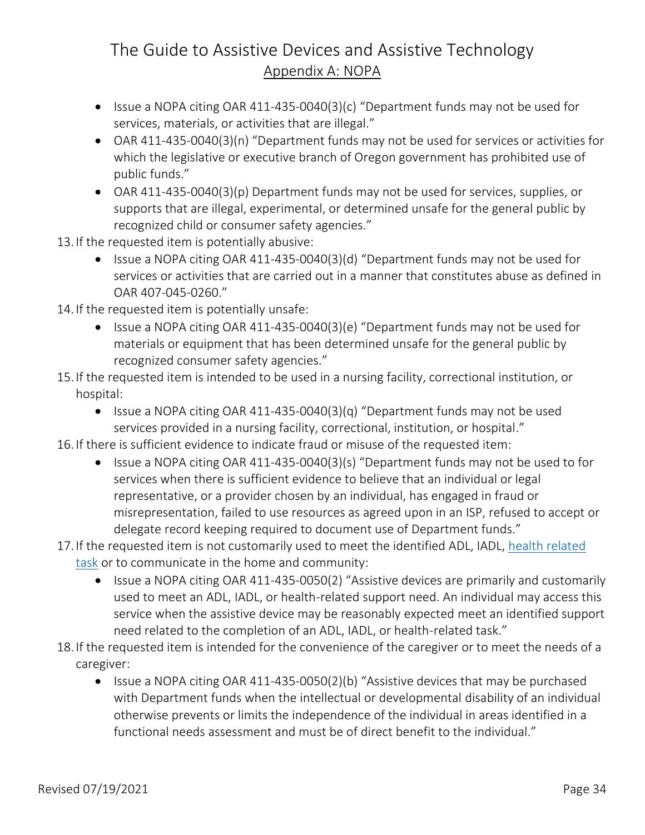- Issue a NOPA citing OAR 411-435-0040(3)(c) "Department funds may not be used for services, materials, or activities that are illegal."
- OAR 411-435-0040(3)(n) "Department funds may not be used for services or activities for which the legislative or executive branch of Oregon government has prohibited use of public funds."
- OAR 411-435-0040(3)(p) Department funds may not be used for services, supplies, or supports that are illegal, experimental, or determined unsafe for the general public by recognized child or consumer safety agencies."
- 13. If the requested item is potentially abusive:
	- Issue a NOPA citing OAR 411-435-0040(3)(d) "Department funds may not be used for services or activities that are carried out in a manner that constitutes abuse as defined in OAR 407-045-0260."
- 14. If the requested item is potentially unsafe:
	- Issue a NOPA citing OAR 411-435-0040(3)(e) "Department funds may not be used for materials or equipment that has been determined unsafe for the general public by recognized consumer safety agencies."
- 15. If the requested item is intended to be used in a nursing facility, correctional institution, or hospital:
	- Issue a NOPA citing OAR 411-435-0040(3)(q) "Department funds may not be used services provided in a nursing facility, correctional, institution, or hospital."
- 16. If there is sufficient evidence to indicate fraud or misuse of the requested item:
	- Issue a NOPA citing OAR 411-435-0040(3)(s) "Department funds may not be used to for services when there is sufficient evidence to believe that an individual or legal representative, or a provider chosen by an individual, has engaged in fraud or misrepresentation, failed to use resources as agreed upon in an ISP, refused to accept or delegate record keeping required to document use of Department funds."
- 17. If the requested item is not customarily used to meet the identified ADL, IADL, health related [task](#page-5-1) or to communicate in the home and community:
	- Issue a NOPA citing OAR 411-435-0050(2) "Assistive devices are primarily and customarily used to meet an ADL, IADL, or health-related support need. An individual may access this service when the assistive device may be reasonably expected meet an identified support need related to the completion of an ADL, IADL, or health-related task."
- 18. If the requested item is intended for the convenience of the caregiver or to meet the needs of a caregiver:
	- Issue a NOPA citing OAR 411-435-0050(2)(b) "Assistive devices that may be purchased with Department funds when the intellectual or developmental disability of an individual otherwise prevents or limits the independence of the individual in areas identified in a functional needs assessment and must be of direct benefit to the individual."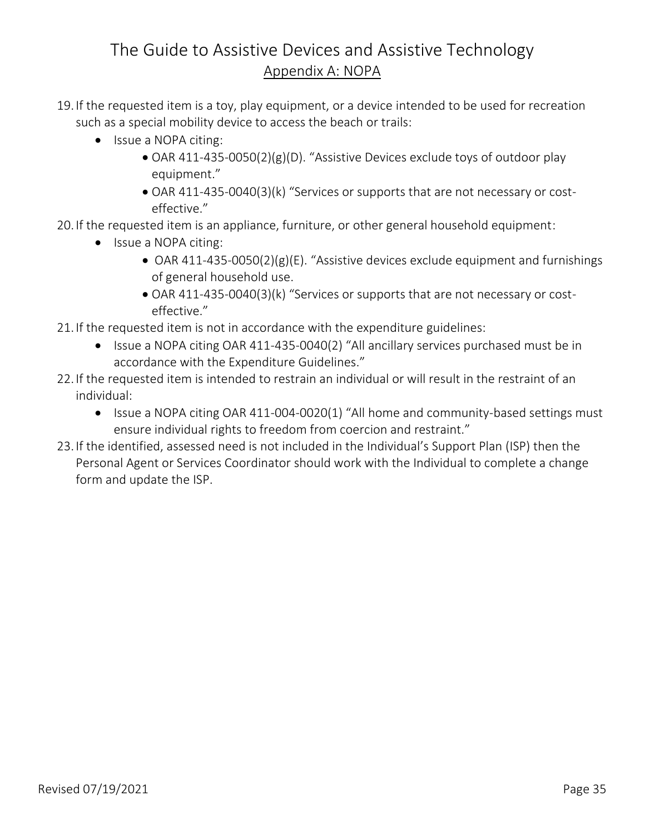- 19. If the requested item is a toy, play equipment, or a device intended to be used for recreation such as a special mobility device to access the beach or trails:
	- Issue a NOPA citing:
		- OAR 411-435-0050(2)(g)(D). "Assistive Devices exclude toys of outdoor play equipment."
		- OAR 411-435-0040(3)(k) "Services or supports that are not necessary or costeffective."
- 20. If the requested item is an appliance, furniture, or other general household equipment:
	- Issue a NOPA citing:
		- OAR 411-435-0050(2)(g)(E). "Assistive devices exclude equipment and furnishings of general household use.
		- OAR 411-435-0040(3)(k) "Services or supports that are not necessary or costeffective."
- 21. If the requested item is not in accordance with the expenditure guidelines:
	- Issue a NOPA citing OAR 411-435-0040(2) "All ancillary services purchased must be in accordance with the Expenditure Guidelines."
- 22. If the requested item is intended to restrain an individual or will result in the restraint of an individual:
	- Issue a NOPA citing OAR 411-004-0020(1) "All home and community-based settings must ensure individual rights to freedom from coercion and restraint."
- <span id="page-37-0"></span>23. If the identified, assessed need is not included in the Individual's Support Plan (ISP) then the Personal Agent or Services Coordinator should work with the Individual to complete a change form and update the ISP.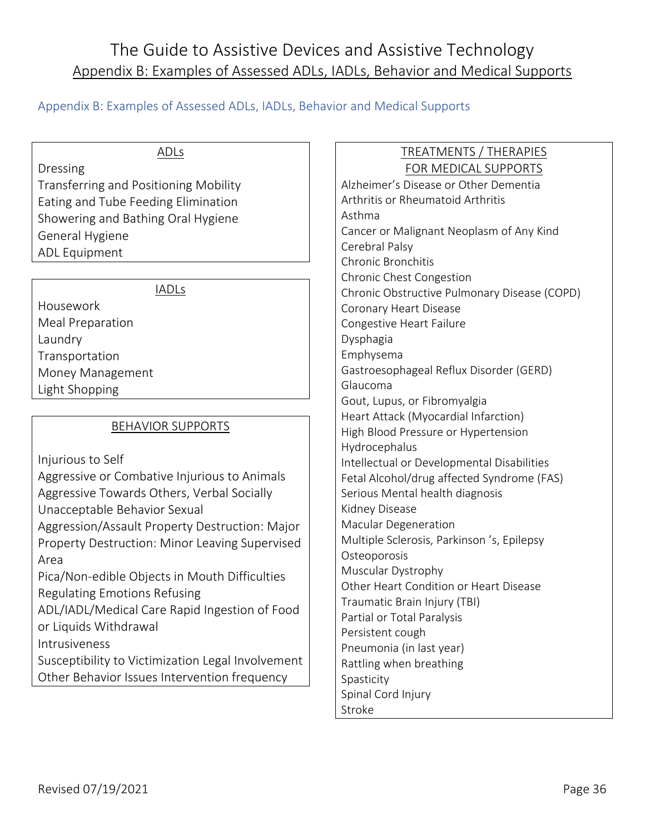### <span id="page-38-0"></span>Appendix B: Examples of Assessed ADLs, IADLs, Behavior and Medical Supports

#### ADLs

Dressing

Transferring and Positioning Mobility Eating and Tube Feeding Elimination Showering and Bathing Oral Hygiene General Hygiene ADL Equipment

#### IADLs

Housework Meal Preparation Laundry Transportation Money Management Light Shopping

#### BEHAVIOR SUPPORTS

Injurious to Self

Aggressive or Combative Injurious to Animals Aggressive Towards Others, Verbal Socially Unacceptable Behavior Sexual Aggression/Assault Property Destruction: Major Property Destruction: Minor Leaving Supervised Area Pica/Non-edible Objects in Mouth Difficulties Regulating Emotions Refusing ADL/IADL/Medical Care Rapid Ingestion of Food or Liquids Withdrawal Intrusiveness

<span id="page-38-1"></span>Susceptibility to Victimization Legal Involvement Other Behavior Issues Intervention frequency

#### TREATMENTS / THERAPIES FOR MEDICAL SUPPORTS

Alzheimer's Disease or Other Dementia Arthritis or Rheumatoid Arthritis Asthma Cancer or Malignant Neoplasm of Any Kind Cerebral Palsy Chronic Bronchitis Chronic Chest Congestion Chronic Obstructive Pulmonary Disease (COPD) Coronary Heart Disease Congestive Heart Failure Dysphagia Emphysema Gastroesophageal Reflux Disorder (GERD) Glaucoma Gout, Lupus, or Fibromyalgia Heart Attack (Myocardial Infarction) High Blood Pressure or Hypertension Hydrocephalus Intellectual or Developmental Disabilities Fetal Alcohol/drug affected Syndrome (FAS) Serious Mental health diagnosis Kidney Disease Macular Degeneration Multiple Sclerosis, Parkinson 's, Epilepsy **Osteoporosis** Muscular Dystrophy Other Heart Condition or Heart Disease Traumatic Brain Injury (TBI) Partial or Total Paralysis Persistent cough Pneumonia (in last year) Rattling when breathing Spasticity Spinal Cord Injury Stroke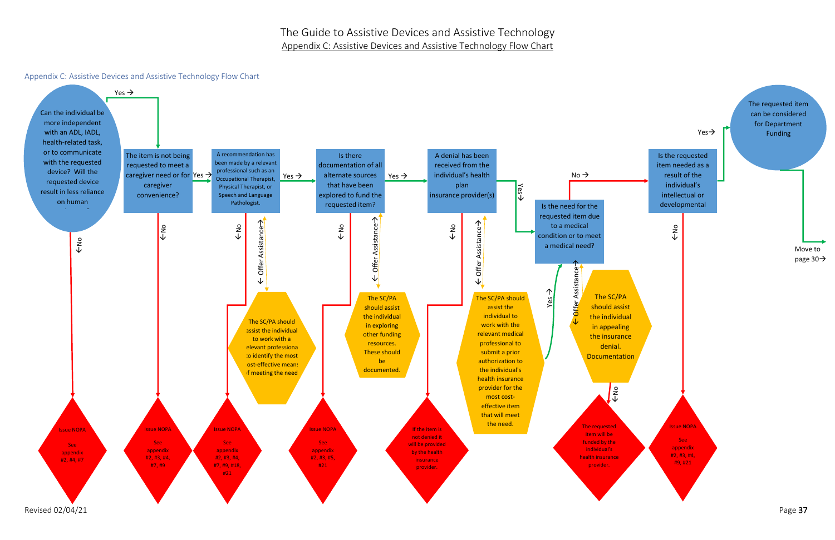#### <span id="page-39-0"></span>Appendix C: Assistive Devices and Assistive Technology Flow Chart

Revised  $02/04/21$  Page  $37$